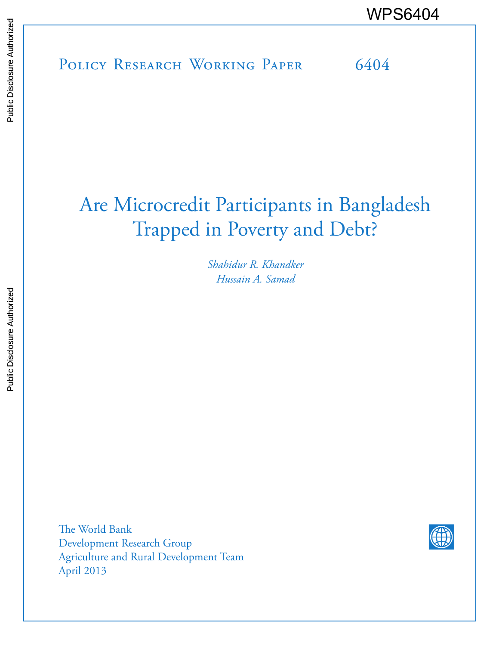# POLICY RESEARCH WORKING PAPER 6404 WPS6404<br>
Media<br>
Media<br>
POLICY RESEARCH WORKING PAPER<br>
Second Disclosure Authorized<br>
Second Disclosure Authorized<br>
POLICY RESEARCH WORKING PAPER<br>
Second Disclosure Authorized

# Are Microcredit Participants in Bangladesh Trapped in Poverty and Debt?

*Shahidur R. Khandker Hussain A. Samad*

The World Bank Development Research Group Agriculture and Rural Development Team April 2013

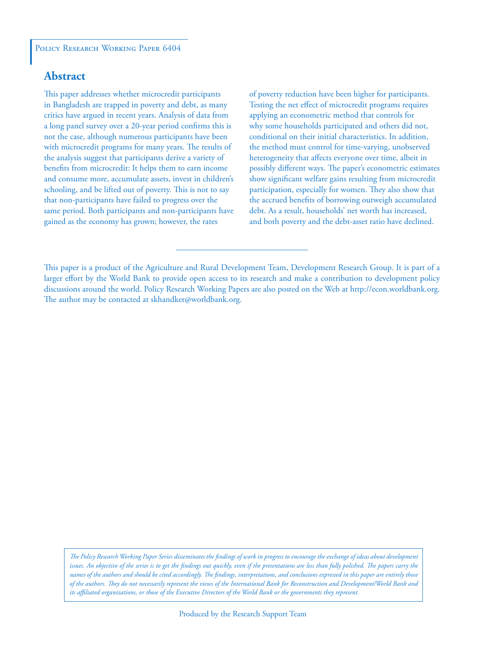# **Abstract**

This paper addresses whether microcredit participants in Bangladesh are trapped in poverty and debt, as many critics have argued in recent years. Analysis of data from a long panel survey over a 20-year period confirms this is not the case, although numerous participants have been with microcredit programs for many years. The results of the analysis suggest that participants derive a variety of benefits from microcredit: It helps them to earn income and consume more, accumulate assets, invest in children's schooling, and be lifted out of poverty. This is not to say that non-participants have failed to progress over the same period. Both participants and non-participants have gained as the economy has grown; however, the rates

of poverty reduction have been higher for participants. Testing the net effect of microcredit programs requires applying an econometric method that controls for why some households participated and others did not, conditional on their initial characteristics. In addition, the method must control for time-varying, unobserved heterogeneity that affects everyone over time, albeit in possibly different ways. The paper's econometric estimates show significant welfare gains resulting from microcredit participation, especially for women. They also show that the accrued benefits of borrowing outweigh accumulated debt. As a result, households' net worth has increased, and both poverty and the debt-asset ratio have declined.

This paper is a product of the Agriculture and Rural Development Team, Development Research Group. It is part of a larger effort by the World Bank to provide open access to its research and make a contribution to development policy discussions around the world. Policy Research Working Papers are also posted on the Web at http://econ.worldbank.org. The author may be contacted at skhandker@worldbank.org.

*The Policy Research Working Paper Series disseminates the findings of work in progress to encourage the exchange of ideas about development*  issues. An objective of the series is to get the findings out quickly, even if the presentations are less than fully polished. The papers carry the *names of the authors and should be cited accordingly. The findings, interpretations, and conclusions expressed in this paper are entirely those of the authors. They do not necessarily represent the views of the International Bank for Reconstruction and Development/World Bank and its affiliated organizations, or those of the Executive Directors of the World Bank or the governments they represent.*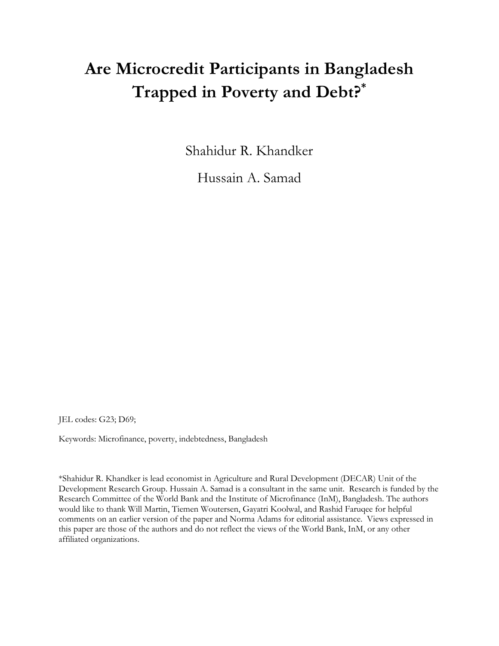# **Are Microcredit Participants in Bangladesh Trapped in Poverty and Debt?\***

Shahidur R. Khandker

Hussain A. Samad

JEL codes: G23; D69;

Keywords: Microfinance, poverty, indebtedness, Bangladesh

\*Shahidur R. Khandker is lead economist in Agriculture and Rural Development (DECAR) Unit of the Development Research Group. Hussain A. Samad is a consultant in the same unit. Research is funded by the Research Committee of the World Bank and the Institute of Microfinance (InM), Bangladesh. The authors would like to thank Will Martin, Tiemen Woutersen, Gayatri Koolwal, and Rashid Faruqee for helpful comments on an earlier version of the paper and Norma Adams for editorial assistance. Views expressed in this paper are those of the authors and do not reflect the views of the World Bank, InM, or any other affiliated organizations.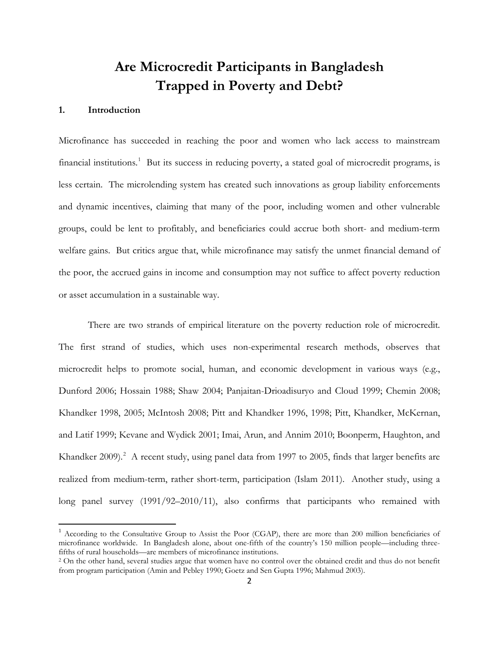# **Are Microcredit Participants in Bangladesh Trapped in Poverty and Debt?**

#### **1. Introduction**

l

Microfinance has succeeded in reaching the poor and women who lack access to mainstream financial institutions.<sup>[1](#page-3-0)</sup> But its success in reducing poverty, a stated goal of microcredit programs, is less certain. The microlending system has created such innovations as group liability enforcements and dynamic incentives, claiming that many of the poor, including women and other vulnerable groups, could be lent to profitably, and beneficiaries could accrue both short- and medium-term welfare gains. But critics argue that, while microfinance may satisfy the unmet financial demand of the poor, the accrued gains in income and consumption may not suffice to affect poverty reduction or asset accumulation in a sustainable way.

There are two strands of empirical literature on the poverty reduction role of microcredit. The first strand of studies, which uses non-experimental research methods, observes that microcredit helps to promote social, human, and economic development in various ways (e.g., Dunford 2006; Hossain 1988; Shaw 2004; Panjaitan-Drioadisuryo and Cloud 1999; Chemin 2008; Khandker 1998, 2005; McIntosh 2008; Pitt and Khandker 1996, 1998; Pitt, Khandker, McKernan, and Latif 1999; Kevane and Wydick 2001; Imai, Arun, and Annim 2010; Boonperm, Haughton, and Khandker [2](#page-3-1)009).<sup>2</sup> A recent study, using panel data from 1997 to 2005, finds that larger benefits are realized from medium-term, rather short-term, participation (Islam 2011). Another study, using a long panel survey (1991/92–2010/11), also confirms that participants who remained with

<span id="page-3-0"></span> $<sup>1</sup>$  According to the Consultative Group to Assist the Poor (CGAP), there are more than 200 million beneficiaries of</sup> microfinance worldwide. In Bangladesh alone, about one-fifth of the country's 150 million people—including threefifths of rural households—are members of microfinance institutions.

<span id="page-3-1"></span><sup>&</sup>lt;sup>2</sup> On the other hand, several studies argue that women have no control over the obtained credit and thus do not benefit from program participation (Amin and Pebley 1990; Goetz and Sen Gupta 1996; Mahmud 2003).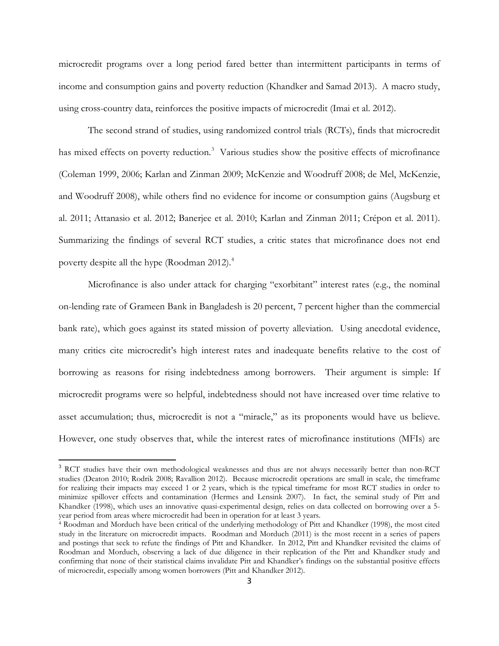microcredit programs over a long period fared better than intermittent participants in terms of income and consumption gains and poverty reduction (Khandker and Samad 2013). A macro study, using cross-country data, reinforces the positive impacts of microcredit (Imai et al. 2012).

 The second strand of studies, using randomized control trials (RCTs), finds that microcredit has mixed effects on poverty reduction.<sup>[3](#page-4-0)</sup> Various studies show the positive effects of microfinance (Coleman 1999, 2006; Karlan and Zinman 2009; McKenzie and Woodruff 2008; de Mel, McKenzie, and Woodruff 2008), while others find no evidence for income or consumption gains (Augsburg et al. 2011; Attanasio et al. 2012; Banerjee et al. 2010; Karlan and Zinman 2011; Crépon et al. 2011). Summarizing the findings of several RCT studies, a critic states that microfinance does not end poverty despite all the hype (Roodman 2012).<sup>[4](#page-4-1)</sup>

Microfinance is also under attack for charging "exorbitant" interest rates (e.g., the nominal on-lending rate of Grameen Bank in Bangladesh is 20 percent, 7 percent higher than the commercial bank rate), which goes against its stated mission of poverty alleviation. Using anecdotal evidence, many critics cite microcredit's high interest rates and inadequate benefits relative to the cost of borrowing as reasons for rising indebtedness among borrowers. Their argument is simple: If microcredit programs were so helpful, indebtedness should not have increased over time relative to asset accumulation; thus, microcredit is not a "miracle," as its proponents would have us believe. However, one study observes that, while the interest rates of microfinance institutions (MFIs) are

<span id="page-4-0"></span><sup>&</sup>lt;sup>3</sup> RCT studies have their own methodological weaknesses and thus are not always necessarily better than non-RCT studies (Deaton 2010; Rodrik 2008; Ravallion 2012). Because microcredit operations are small in scale, the timeframe for realizing their impacts may exceed 1 or 2 years, which is the typical timeframe for most RCT studies in order to minimize spillover effects and contamination (Hermes and Lensink 2007). In fact, the seminal study of Pitt and Khandker (1998), which uses an innovative quasi-experimental design, relies on data collected on borrowing over a 5 year period from areas where microcredit had been in operation for at least 3 years. 4 Roodman and Morduch have been critical of the underlying methodology of Pitt and Khandker (1998), the most cited

<span id="page-4-1"></span>study in the literature on microcredit impacts. Roodman and Morduch (2011) is the most recent in a series of papers and postings that seek to refute the findings of Pitt and Khandker. In 2012, Pitt and Khandker revisited the claims of Roodman and Morduch, observing a lack of due diligence in their replication of the Pitt and Khandker study and confirming that none of their statistical claims invalidate Pitt and Khandker's findings on the substantial positive effects of microcredit, especially among women borrowers (Pitt and Khandker 2012).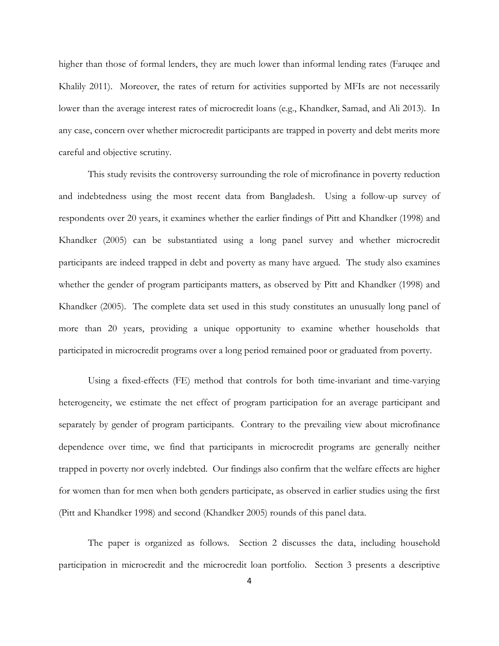higher than those of formal lenders, they are much lower than informal lending rates (Faruqee and Khalily 2011). Moreover, the rates of return for activities supported by MFIs are not necessarily lower than the average interest rates of microcredit loans (e.g., Khandker, Samad, and Ali 2013). In any case, concern over whether microcredit participants are trapped in poverty and debt merits more careful and objective scrutiny.

 This study revisits the controversy surrounding the role of microfinance in poverty reduction and indebtedness using the most recent data from Bangladesh. Using a follow-up survey of respondents over 20 years, it examines whether the earlier findings of Pitt and Khandker (1998) and Khandker (2005) can be substantiated using a long panel survey and whether microcredit participants are indeed trapped in debt and poverty as many have argued. The study also examines whether the gender of program participants matters, as observed by Pitt and Khandker (1998) and Khandker (2005). The complete data set used in this study constitutes an unusually long panel of more than 20 years, providing a unique opportunity to examine whether households that participated in microcredit programs over a long period remained poor or graduated from poverty.

Using a fixed-effects (FE) method that controls for both time-invariant and time-varying heterogeneity, we estimate the net effect of program participation for an average participant and separately by gender of program participants. Contrary to the prevailing view about microfinance dependence over time, we find that participants in microcredit programs are generally neither trapped in poverty nor overly indebted. Our findings also confirm that the welfare effects are higher for women than for men when both genders participate, as observed in earlier studies using the first (Pitt and Khandker 1998) and second (Khandker 2005) rounds of this panel data.

The paper is organized as follows. Section 2 discusses the data, including household participation in microcredit and the microcredit loan portfolio. Section 3 presents a descriptive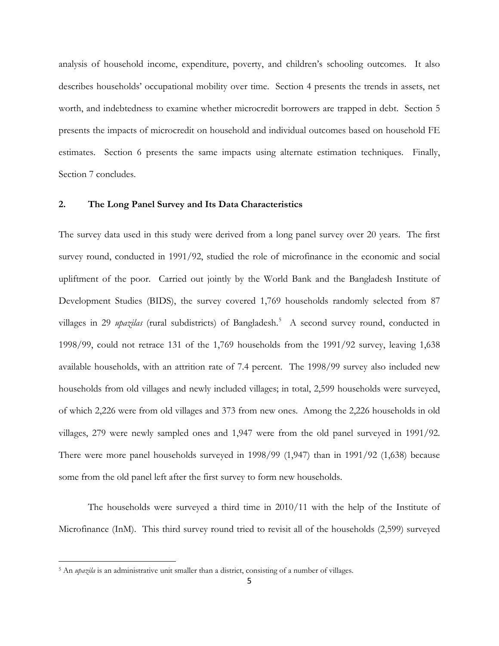analysis of household income, expenditure, poverty, and children's schooling outcomes. It also describes households' occupational mobility over time. Section 4 presents the trends in assets, net worth, and indebtedness to examine whether microcredit borrowers are trapped in debt. Section 5 presents the impacts of microcredit on household and individual outcomes based on household FE estimates. Section 6 presents the same impacts using alternate estimation techniques. Finally, Section 7 concludes.

#### **2. The Long Panel Survey and Its Data Characteristics**

The survey data used in this study were derived from a long panel survey over 20 years. The first survey round, conducted in 1991/92, studied the role of microfinance in the economic and social upliftment of the poor. Carried out jointly by the World Bank and the Bangladesh Institute of Development Studies (BIDS), the survey covered 1,769 households randomly selected from 87 villages in 29 *upazilas* (rural subdistricts) of Bangladesh.<sup>[5](#page-6-0)</sup> A second survey round, conducted in 1998/99, could not retrace 131 of the 1,769 households from the 1991/92 survey, leaving 1,638 available households, with an attrition rate of 7.4 percent. The 1998/99 survey also included new households from old villages and newly included villages; in total, 2,599 households were surveyed, of which 2,226 were from old villages and 373 from new ones. Among the 2,226 households in old villages, 279 were newly sampled ones and 1,947 were from the old panel surveyed in 1991/92. There were more panel households surveyed in 1998/99 (1,947) than in 1991/92 (1,638) because some from the old panel left after the first survey to form new households.

The households were surveyed a third time in 2010/11 with the help of the Institute of Microfinance (InM). This third survey round tried to revisit all of the households (2,599) surveyed

<span id="page-6-0"></span><sup>&</sup>lt;sup>5</sup> An *upazila* is an administrative unit smaller than a district, consisting of a number of villages.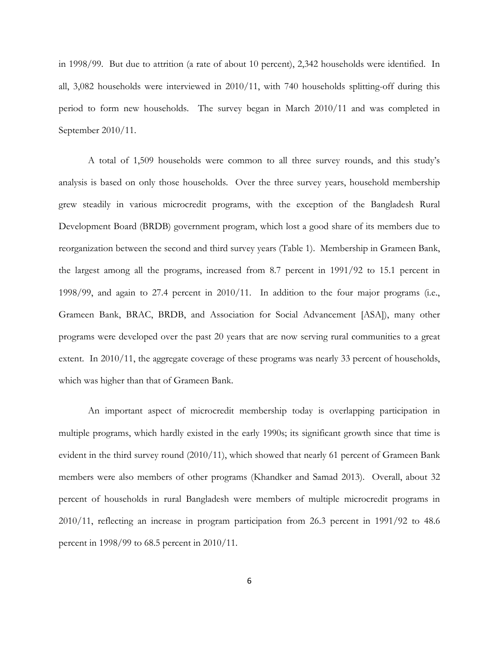in 1998/99. But due to attrition (a rate of about 10 percent), 2,342 households were identified. In all, 3,082 households were interviewed in 2010/11, with 740 households splitting-off during this period to form new households. The survey began in March 2010/11 and was completed in September 2010/11.

 A total of 1,509 households were common to all three survey rounds, and this study's analysis is based on only those households. Over the three survey years, household membership grew steadily in various microcredit programs, with the exception of the Bangladesh Rural Development Board (BRDB) government program, which lost a good share of its members due to reorganization between the second and third survey years (Table 1). Membership in Grameen Bank, the largest among all the programs, increased from 8.7 percent in 1991/92 to 15.1 percent in 1998/99, and again to 27.4 percent in 2010/11. In addition to the four major programs (i.e., Grameen Bank, BRAC, BRDB, and Association for Social Advancement [ASA]), many other programs were developed over the past 20 years that are now serving rural communities to a great extent. In 2010/11, the aggregate coverage of these programs was nearly 33 percent of households, which was higher than that of Grameen Bank.

An important aspect of microcredit membership today is overlapping participation in multiple programs, which hardly existed in the early 1990s; its significant growth since that time is evident in the third survey round (2010/11), which showed that nearly 61 percent of Grameen Bank members were also members of other programs (Khandker and Samad 2013). Overall, about 32 percent of households in rural Bangladesh were members of multiple microcredit programs in 2010/11, reflecting an increase in program participation from 26.3 percent in 1991/92 to 48.6 percent in 1998/99 to 68.5 percent in 2010/11.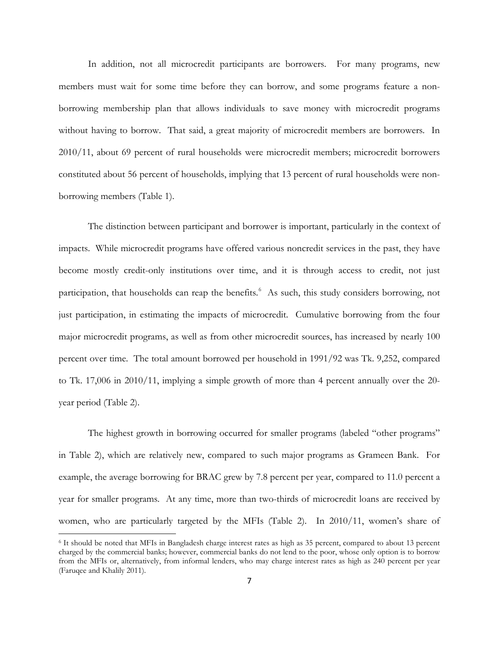In addition, not all microcredit participants are borrowers. For many programs, new members must wait for some time before they can borrow, and some programs feature a nonborrowing membership plan that allows individuals to save money with microcredit programs without having to borrow. That said, a great majority of microcredit members are borrowers. In 2010/11, about 69 percent of rural households were microcredit members; microcredit borrowers constituted about 56 percent of households, implying that 13 percent of rural households were nonborrowing members (Table 1).

The distinction between participant and borrower is important, particularly in the context of impacts. While microcredit programs have offered various noncredit services in the past, they have become mostly credit-only institutions over time, and it is through access to credit, not just participation, that households can reap the benefits.<sup>[6](#page-8-0)</sup> As such, this study considers borrowing, not just participation, in estimating the impacts of microcredit. Cumulative borrowing from the four major microcredit programs, as well as from other microcredit sources, has increased by nearly 100 percent over time. The total amount borrowed per household in 1991/92 was Tk. 9,252, compared to Tk. 17,006 in 2010/11, implying a simple growth of more than 4 percent annually over the 20 year period (Table 2).

The highest growth in borrowing occurred for smaller programs (labeled "other programs" in Table 2), which are relatively new, compared to such major programs as Grameen Bank. For example, the average borrowing for BRAC grew by 7.8 percent per year, compared to 11.0 percent a year for smaller programs. At any time, more than two-thirds of microcredit loans are received by women, who are particularly targeted by the MFIs (Table 2). In 2010/11, women's share of

<span id="page-8-0"></span><sup>6</sup> It should be noted that MFIs in Bangladesh charge interest rates as high as 35 percent, compared to about 13 percent charged by the commercial banks; however, commercial banks do not lend to the poor, whose only option is to borrow from the MFIs or, alternatively, from informal lenders, who may charge interest rates as high as 240 percent per year (Faruqee and Khalily 2011).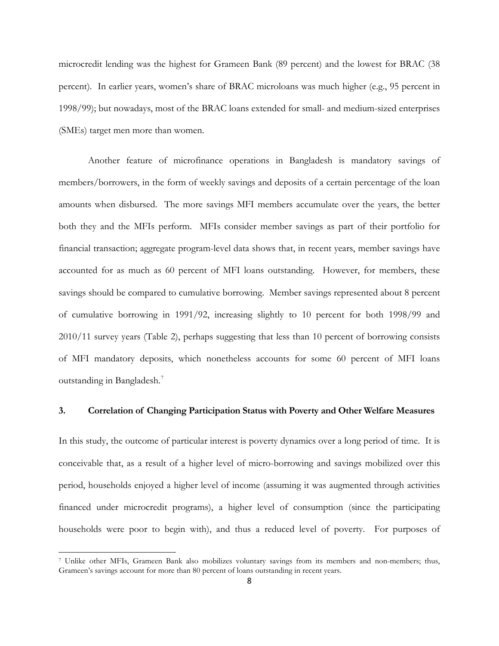microcredit lending was the highest for Grameen Bank (89 percent) and the lowest for BRAC (38 percent). In earlier years, women's share of BRAC microloans was much higher (e.g., 95 percent in 1998/99); but nowadays, most of the BRAC loans extended for small- and medium-sized enterprises (SMEs) target men more than women.

Another feature of microfinance operations in Bangladesh is mandatory savings of members/borrowers, in the form of weekly savings and deposits of a certain percentage of the loan amounts when disbursed. The more savings MFI members accumulate over the years, the better both they and the MFIs perform. MFIs consider member savings as part of their portfolio for financial transaction; aggregate program-level data shows that, in recent years, member savings have accounted for as much as 60 percent of MFI loans outstanding. However, for members, these savings should be compared to cumulative borrowing. Member savings represented about 8 percent of cumulative borrowing in 1991/92, increasing slightly to 10 percent for both 1998/99 and 2010/11 survey years (Table 2), perhaps suggesting that less than 10 percent of borrowing consists of MFI mandatory deposits, which nonetheless accounts for some 60 percent of MFI loans outstanding in Bangladesh.[7](#page-9-0)

#### **3. Correlation of Changing Participation Status with Poverty and Other Welfare Measures**

In this study, the outcome of particular interest is poverty dynamics over a long period of time. It is conceivable that, as a result of a higher level of micro-borrowing and savings mobilized over this period, households enjoyed a higher level of income (assuming it was augmented through activities financed under microcredit programs), a higher level of consumption (since the participating households were poor to begin with), and thus a reduced level of poverty. For purposes of

<span id="page-9-0"></span><sup>7</sup> Unlike other MFIs, Grameen Bank also mobilizes voluntary savings from its members and non-members; thus, Grameen's savings account for more than 80 percent of loans outstanding in recent years.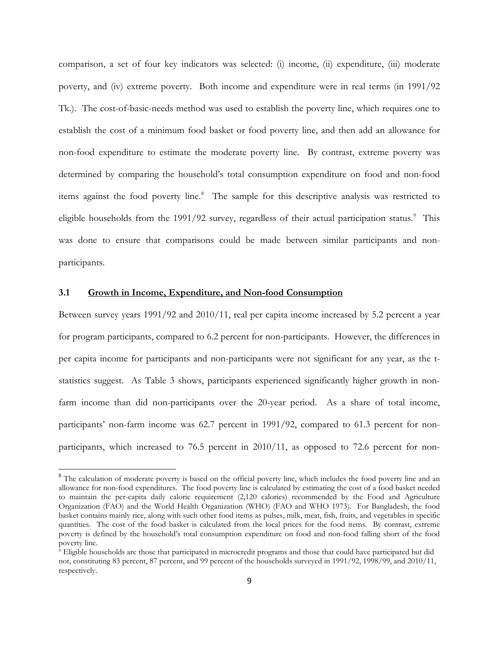comparison, a set of four key indicators was selected: (i) income, (ii) expenditure, (iii) moderate poverty, and (iv) extreme poverty. Both income and expenditure were in real terms (in 1991/92 Tk.). The cost-of-basic-needs method was used to establish the poverty line, which requires one to establish the cost of a minimum food basket or food poverty line, and then add an allowance for non-food expenditure to estimate the moderate poverty line. By contrast, extreme poverty was determined by comparing the household's total consumption expenditure on food and non-food items against the food poverty line.<sup>[8](#page-10-0)</sup> The sample for this descriptive analysis was restricted to eligible households from the 1[9](#page-10-1)91/92 survey, regardless of their actual participation status.<sup>9</sup> This was done to ensure that comparisons could be made between similar participants and nonparticipants.

#### **3.1 Growth in Income, Expenditure, and Non-food Consumption**

l

Between survey years 1991/92 and 2010/11, real per capita income increased by 5.2 percent a year for program participants, compared to 6.2 percent for non-participants. However, the differences in per capita income for participants and non-participants were not significant for any year, as the tstatistics suggest. As Table 3 shows, participants experienced significantly higher growth in nonfarm income than did non-participants over the 20-year period. As a share of total income, participants' non-farm income was 62.7 percent in 1991/92, compared to 61.3 percent for nonparticipants, which increased to 76.5 percent in 2010/11, as opposed to 72.6 percent for non-

<span id="page-10-0"></span><sup>&</sup>lt;sup>8</sup> The calculation of moderate poverty is based on the official poverty line, which includes the food poverty line and an allowance for non-food expenditures. The food poverty line is calculated by estimating the cost of a food basket needed to maintain the per-capita daily caloric requirement (2,120 calories) recommended by the Food and Agriculture Organization (FAO) and the World Health Organization (WHO) (FAO and WHO 1973). For Bangladesh, the food basket contains mainly rice, along with such other food items as pulses, milk, meat, fish, fruits, and vegetables in specific quantities. The cost of the food basket is calculated from the local prices for the food items. By contrast, extreme poverty is defined by the household's total consumption expenditure on food and non-food falling short of the food poverty line.

<span id="page-10-1"></span><sup>9</sup> Eligible households are those that participated in microcredit programs and those that could have participated but did not, constituting 83 percent, 87 percent, and 99 percent of the households surveyed in 1991/92, 1998/99, and 2010/11, respectively.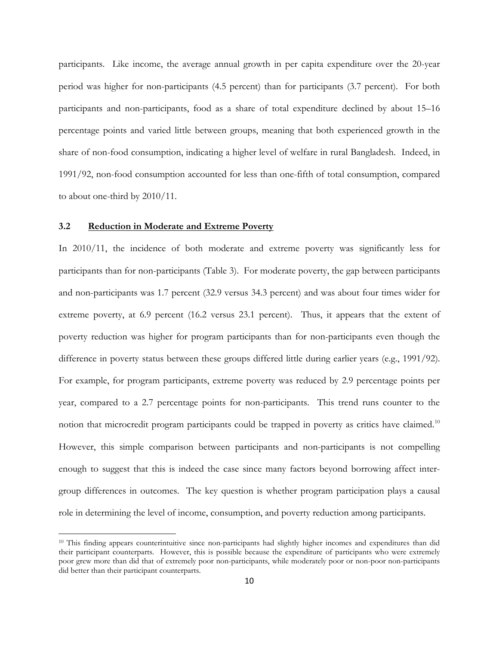participants. Like income, the average annual growth in per capita expenditure over the 20-year period was higher for non-participants (4.5 percent) than for participants (3.7 percent). For both participants and non-participants, food as a share of total expenditure declined by about 15–16 percentage points and varied little between groups, meaning that both experienced growth in the share of non-food consumption, indicating a higher level of welfare in rural Bangladesh. Indeed, in 1991/92, non-food consumption accounted for less than one-fifth of total consumption, compared to about one-third by 2010/11.

#### **3.2 Reduction in Moderate and Extreme Poverty**

l

In 2010/11, the incidence of both moderate and extreme poverty was significantly less for participants than for non-participants (Table 3). For moderate poverty, the gap between participants and non-participants was 1.7 percent (32.9 versus 34.3 percent) and was about four times wider for extreme poverty, at 6.9 percent (16.2 versus 23.1 percent). Thus, it appears that the extent of poverty reduction was higher for program participants than for non-participants even though the difference in poverty status between these groups differed little during earlier years (e.g., 1991/92). For example, for program participants, extreme poverty was reduced by 2.9 percentage points per year, compared to a 2.7 percentage points for non-participants. This trend runs counter to the notion that microcredit program participants could be trapped in poverty as critics have claimed.<sup>[10](#page-11-0)</sup> However, this simple comparison between participants and non-participants is not compelling enough to suggest that this is indeed the case since many factors beyond borrowing affect intergroup differences in outcomes. The key question is whether program participation plays a causal role in determining the level of income, consumption, and poverty reduction among participants.

<span id="page-11-0"></span><sup>&</sup>lt;sup>10</sup> This finding appears counterintuitive since non-participants had slightly higher incomes and expenditures than did their participant counterparts. However, this is possible because the expenditure of participants who were extremely poor grew more than did that of extremely poor non-participants, while moderately poor or non-poor non-participants did better than their participant counterparts.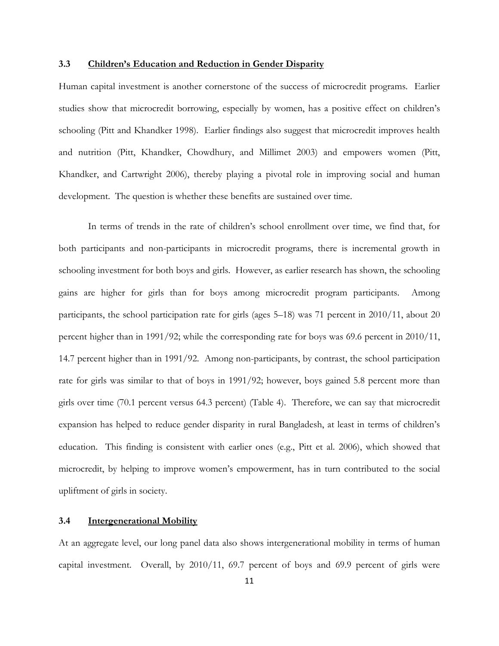#### **3.3 Children's Education and Reduction in Gender Disparity**

Human capital investment is another cornerstone of the success of microcredit programs. Earlier studies show that microcredit borrowing, especially by women, has a positive effect on children's schooling (Pitt and Khandker 1998). Earlier findings also suggest that microcredit improves health and nutrition (Pitt, Khandker, Chowdhury, and Millimet 2003) and empowers women (Pitt, Khandker, and Cartwright 2006), thereby playing a pivotal role in improving social and human development. The question is whether these benefits are sustained over time.

In terms of trends in the rate of children's school enrollment over time, we find that, for both participants and non-participants in microcredit programs, there is incremental growth in schooling investment for both boys and girls. However, as earlier research has shown, the schooling gains are higher for girls than for boys among microcredit program participants. Among participants, the school participation rate for girls (ages 5–18) was 71 percent in 2010/11, about 20 percent higher than in 1991/92; while the corresponding rate for boys was 69.6 percent in 2010/11, 14.7 percent higher than in 1991/92. Among non-participants, by contrast, the school participation rate for girls was similar to that of boys in 1991/92; however, boys gained 5.8 percent more than girls over time (70.1 percent versus 64.3 percent) (Table 4). Therefore, we can say that microcredit expansion has helped to reduce gender disparity in rural Bangladesh, at least in terms of children's education. This finding is consistent with earlier ones (e.g., Pitt et al. 2006), which showed that microcredit, by helping to improve women's empowerment, has in turn contributed to the social upliftment of girls in society.

#### **3.4 Intergenerational Mobility**

At an aggregate level, our long panel data also shows intergenerational mobility in terms of human capital investment. Overall, by 2010/11, 69.7 percent of boys and 69.9 percent of girls were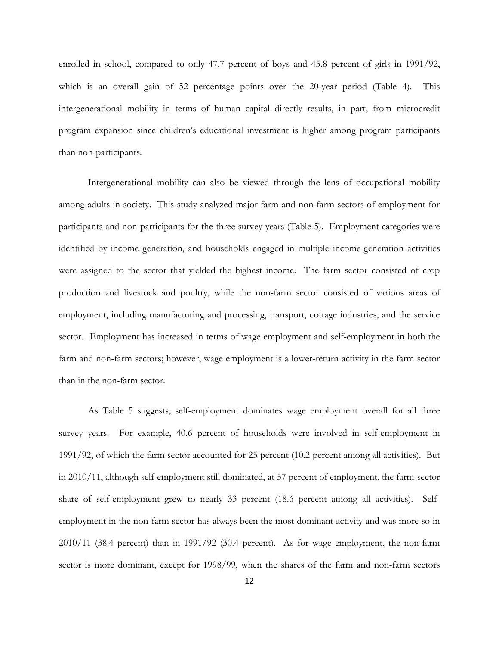enrolled in school, compared to only 47.7 percent of boys and 45.8 percent of girls in 1991/92, which is an overall gain of 52 percentage points over the 20-year period (Table 4). This intergenerational mobility in terms of human capital directly results, in part, from microcredit program expansion since children's educational investment is higher among program participants than non-participants.

 Intergenerational mobility can also be viewed through the lens of occupational mobility among adults in society. This study analyzed major farm and non-farm sectors of employment for participants and non-participants for the three survey years (Table 5). Employment categories were identified by income generation, and households engaged in multiple income-generation activities were assigned to the sector that yielded the highest income. The farm sector consisted of crop production and livestock and poultry, while the non-farm sector consisted of various areas of employment, including manufacturing and processing, transport, cottage industries, and the service sector. Employment has increased in terms of wage employment and self-employment in both the farm and non-farm sectors; however, wage employment is a lower-return activity in the farm sector than in the non-farm sector.

As Table 5 suggests, self-employment dominates wage employment overall for all three survey years. For example, 40.6 percent of households were involved in self-employment in 1991/92, of which the farm sector accounted for 25 percent (10.2 percent among all activities). But in 2010/11, although self-employment still dominated, at 57 percent of employment, the farm-sector share of self-employment grew to nearly 33 percent (18.6 percent among all activities). Selfemployment in the non-farm sector has always been the most dominant activity and was more so in 2010/11 (38.4 percent) than in 1991/92 (30.4 percent). As for wage employment, the non-farm sector is more dominant, except for 1998/99, when the shares of the farm and non-farm sectors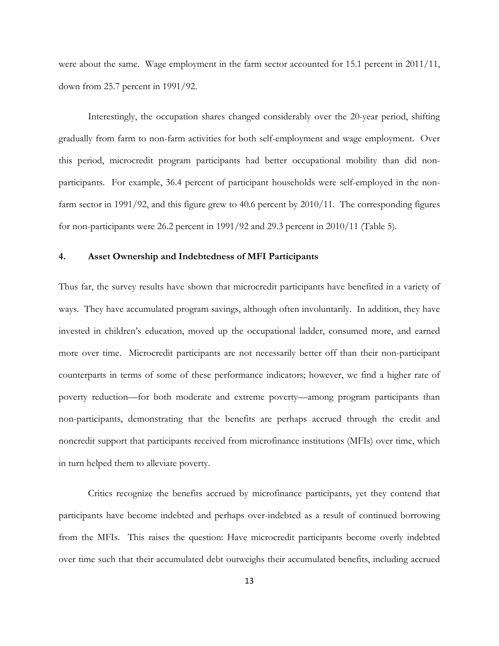were about the same. Wage employment in the farm sector accounted for 15.1 percent in 2011/11, down from 25.7 percent in 1991/92.

 Interestingly, the occupation shares changed considerably over the 20-year period, shifting gradually from farm to non-farm activities for both self-employment and wage employment. Over this period, microcredit program participants had better occupational mobility than did nonparticipants. For example, 36.4 percent of participant households were self-employed in the nonfarm sector in 1991/92, and this figure grew to 40.6 percent by 2010/11. The corresponding figures for non-participants were 26.2 percent in 1991/92 and 29.3 percent in 2010/11 (Table 5).

#### **4. Asset Ownership and Indebtedness of MFI Participants**

Thus far, the survey results have shown that microcredit participants have benefited in a variety of ways. They have accumulated program savings, although often involuntarily. In addition, they have invested in children's education, moved up the occupational ladder, consumed more, and earned more over time. Microcredit participants are not necessarily better off than their non-participant counterparts in terms of some of these performance indicators; however, we find a higher rate of poverty reduction—for both moderate and extreme poverty—among program participants than non-participants, demonstrating that the benefits are perhaps accrued through the credit and noncredit support that participants received from microfinance institutions (MFIs) over time, which in turn helped them to alleviate poverty.

Critics recognize the benefits accrued by microfinance participants, yet they contend that participants have become indebted and perhaps over-indebted as a result of continued borrowing from the MFIs. This raises the question: Have microcredit participants become overly indebted over time such that their accumulated debt outweighs their accumulated benefits, including accrued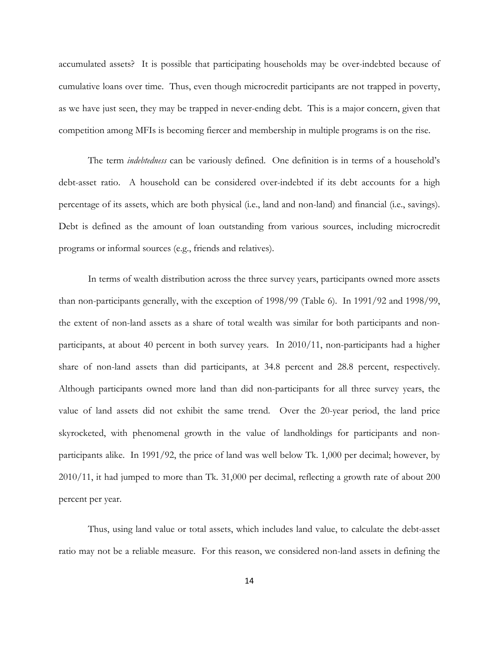accumulated assets? It is possible that participating households may be over-indebted because of cumulative loans over time. Thus, even though microcredit participants are not trapped in poverty, as we have just seen, they may be trapped in never-ending debt. This is a major concern, given that competition among MFIs is becoming fiercer and membership in multiple programs is on the rise.

The term *indebtedness* can be variously defined. One definition is in terms of a household's debt-asset ratio. A household can be considered over-indebted if its debt accounts for a high percentage of its assets, which are both physical (i.e., land and non-land) and financial (i.e., savings). Debt is defined as the amount of loan outstanding from various sources, including microcredit programs or informal sources (e.g., friends and relatives).

In terms of wealth distribution across the three survey years, participants owned more assets than non-participants generally, with the exception of 1998/99 (Table 6). In 1991/92 and 1998/99, the extent of non-land assets as a share of total wealth was similar for both participants and nonparticipants, at about 40 percent in both survey years. In 2010/11, non-participants had a higher share of non-land assets than did participants, at 34.8 percent and 28.8 percent, respectively. Although participants owned more land than did non-participants for all three survey years, the value of land assets did not exhibit the same trend. Over the 20-year period, the land price skyrocketed, with phenomenal growth in the value of landholdings for participants and nonparticipants alike. In 1991/92, the price of land was well below Tk. 1,000 per decimal; however, by 2010/11, it had jumped to more than Tk. 31,000 per decimal, reflecting a growth rate of about 200 percent per year.

Thus, using land value or total assets, which includes land value, to calculate the debt-asset ratio may not be a reliable measure. For this reason, we considered non-land assets in defining the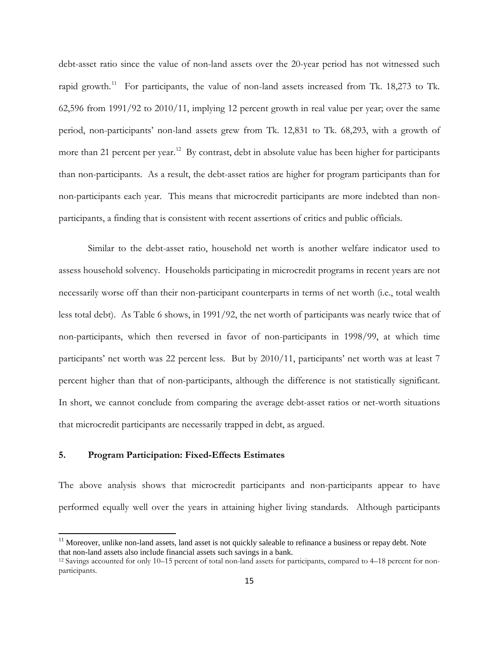debt-asset ratio since the value of non-land assets over the 20-year period has not witnessed such rapid growth.<sup>[11](#page-16-0)</sup> For participants, the value of non-land assets increased from Tk. 18,273 to Tk. 62,596 from 1991/92 to 2010/11, implying 12 percent growth in real value per year; over the same period, non-participants' non-land assets grew from Tk. 12,831 to Tk. 68,293, with a growth of more than 21 percent per year.<sup>[12](#page-16-1)</sup> By contrast, debt in absolute value has been higher for participants than non-participants. As a result, the debt-asset ratios are higher for program participants than for non-participants each year. This means that microcredit participants are more indebted than nonparticipants, a finding that is consistent with recent assertions of critics and public officials.

Similar to the debt-asset ratio, household net worth is another welfare indicator used to assess household solvency. Households participating in microcredit programs in recent years are not necessarily worse off than their non-participant counterparts in terms of net worth (i.e., total wealth less total debt). As Table 6 shows, in 1991/92, the net worth of participants was nearly twice that of non-participants, which then reversed in favor of non-participants in 1998/99, at which time participants' net worth was 22 percent less. But by 2010/11, participants' net worth was at least 7 percent higher than that of non-participants, although the difference is not statistically significant. In short, we cannot conclude from comparing the average debt-asset ratios or net-worth situations that microcredit participants are necessarily trapped in debt, as argued.

#### **5. Program Participation: Fixed-Effects Estimates**

 $\overline{\phantom{a}}$ 

The above analysis shows that microcredit participants and non-participants appear to have performed equally well over the years in attaining higher living standards. Although participants

<span id="page-16-0"></span><sup>&</sup>lt;sup>11</sup> Moreover, unlike non-land assets, land asset is not quickly saleable to refinance a business or repay debt. Note that non-land assets also include financial assets such savings in a bank.

<span id="page-16-1"></span><sup>12</sup> Savings accounted for only 10–15 percent of total non-land assets for participants, compared to 4–18 percent for nonparticipants.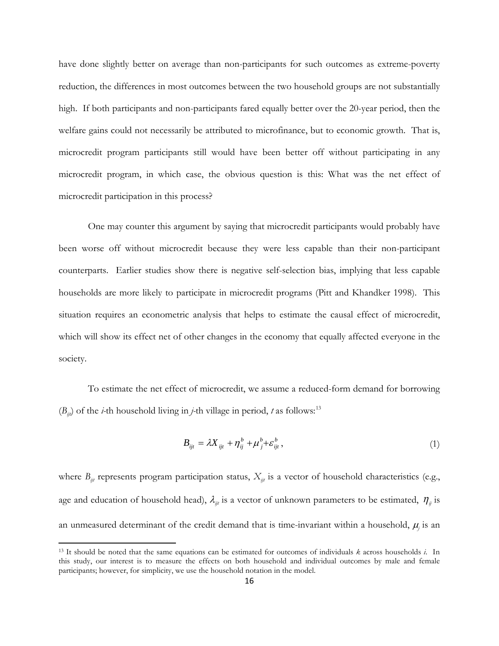have done slightly better on average than non-participants for such outcomes as extreme-poverty reduction, the differences in most outcomes between the two household groups are not substantially high. If both participants and non-participants fared equally better over the 20-year period, then the welfare gains could not necessarily be attributed to microfinance, but to economic growth. That is, microcredit program participants still would have been better off without participating in any microcredit program, in which case, the obvious question is this: What was the net effect of microcredit participation in this process?

One may counter this argument by saying that microcredit participants would probably have been worse off without microcredit because they were less capable than their non-participant counterparts. Earlier studies show there is negative self-selection bias, implying that less capable households are more likely to participate in microcredit programs (Pitt and Khandker 1998). This situation requires an econometric analysis that helps to estimate the causal effect of microcredit, which will show its effect net of other changes in the economy that equally affected everyone in the society.

To estimate the net effect of microcredit, we assume a reduced-form demand for borrowing  $(B_{ii})$  of the *i*-th household living in *j*-th village in period, *t* as follows:<sup>[13](#page-17-0)</sup>

$$
B_{ijt} = \lambda X_{ijt} + \eta_{ij}^b + \mu_{j}^b + \varepsilon_{ijt}^b, \qquad (1)
$$

where  $B_{ii}$  represents program participation status,  $X_{ii}$  is a vector of household characteristics (e.g., age and education of household head),  $\lambda_{ij}$  is a vector of unknown parameters to be estimated,  $\eta_{ij}$  is an unmeasured determinant of the credit demand that is time-invariant within a household,  $\mu$ <sub>*j*</sub> is an

<span id="page-17-0"></span><sup>&</sup>lt;sup>13</sup> It should be noted that the same equations can be estimated for outcomes of individuals  $k$  across households  $i$ . In this study, our interest is to measure the effects on both household and individual outcomes by male and female participants; however, for simplicity, we use the household notation in the model.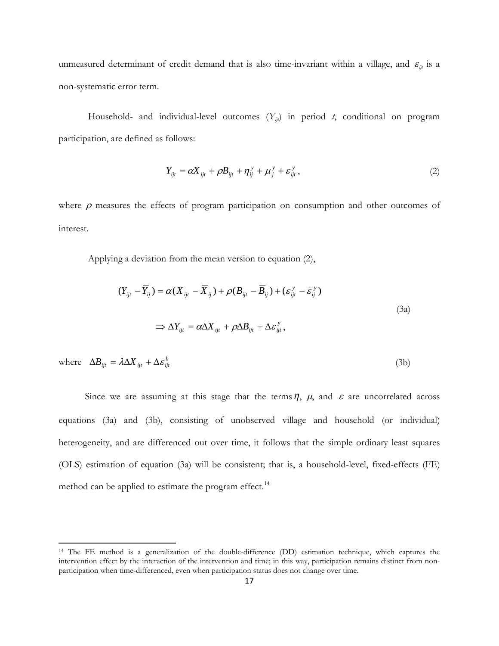unmeasured determinant of credit demand that is also time-invariant within a village, and  $\varepsilon_{ijt}$  is a non-systematic error term.

Household- and individual-level outcomes  $(Y_{ij}$  in period *t*, conditional on program participation, are defined as follows:

$$
Y_{ijt} = \alpha X_{ijt} + \rho B_{ijt} + \eta_{ij}^y + \mu_j^y + \varepsilon_{ijt}^y, \qquad (2)
$$

where  $\rho$  measures the effects of program participation on consumption and other outcomes of interest.

Applying a deviation from the mean version to equation (2),

$$
(Y_{ijt} - \overline{Y}_{ij}) = \alpha (X_{ijt} - \overline{X}_{ij}) + \rho (B_{ijt} - \overline{B}_{ij}) + (\varepsilon_{ijt}^y - \overline{\varepsilon}_{ij}^y)
$$
  

$$
\Rightarrow \Delta Y_{ijt} = \alpha \Delta X_{ijt} + \rho \Delta B_{ijt} + \Delta \varepsilon_{ijt}^y,
$$
 (3a)

where  $\Delta B_{ijt} = \lambda \Delta X_{ijt} + \Delta \varepsilon_{ijt}^b$  (3b)

Since we are assuming at this stage that the terms  $\eta$ ,  $\mu$ , and  $\varepsilon$  are uncorrelated across equations (3a) and (3b), consisting of unobserved village and household (or individual) heterogeneity, and are differenced out over time, it follows that the simple ordinary least squares (OLS) estimation of equation (3a) will be consistent; that is, a household-level, fixed-effects (FE) method can be applied to estimate the program effect.<sup>[14](#page-18-0)</sup>

<span id="page-18-0"></span><sup>14</sup> The FE method is a generalization of the double-difference (DD) estimation technique, which captures the intervention effect by the interaction of the intervention and time; in this way, participation remains distinct from nonparticipation when time-differenced, even when participation status does not change over time.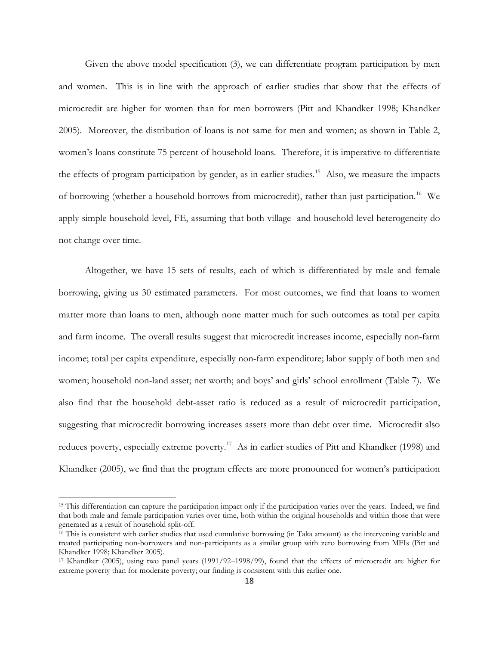Given the above model specification (3), we can differentiate program participation by men and women. This is in line with the approach of earlier studies that show that the effects of microcredit are higher for women than for men borrowers (Pitt and Khandker 1998; Khandker 2005). Moreover, the distribution of loans is not same for men and women; as shown in Table 2, women's loans constitute 75 percent of household loans. Therefore, it is imperative to differentiate the effects of program participation by gender, as in earlier studies.<sup>[15](#page-19-0)</sup> Also, we measure the impacts of borrowing (whether a household borrows from microcredit), rather than just participation.<sup>[16](#page-19-1)</sup> We apply simple household-level, FE, assuming that both village- and household-level heterogeneity do not change over time.

Altogether, we have 15 sets of results, each of which is differentiated by male and female borrowing, giving us 30 estimated parameters. For most outcomes, we find that loans to women matter more than loans to men, although none matter much for such outcomes as total per capita and farm income. The overall results suggest that microcredit increases income, especially non-farm income; total per capita expenditure, especially non-farm expenditure; labor supply of both men and women; household non-land asset; net worth; and boys' and girls' school enrollment (Table 7). We also find that the household debt-asset ratio is reduced as a result of microcredit participation, suggesting that microcredit borrowing increases assets more than debt over time. Microcredit also reduces poverty, especially extreme poverty.<sup>17</sup> As in earlier studies of Pitt and Khandker (1998) and Khandker (2005), we find that the program effects are more pronounced for women's participation

<span id="page-19-0"></span><sup>&</sup>lt;sup>15</sup> This differentiation can capture the participation impact only if the participation varies over the years. Indeed, we find that both male and female participation varies over time, both within the original households and within those that were generated as a result of household split-off.

<span id="page-19-1"></span><sup>&</sup>lt;sup>16</sup> This is consistent with earlier studies that used cumulative borrowing (in Taka amount) as the intervening variable and treated participating non-borrowers and non-participants as a similar group with zero borrowing from MFIs (Pitt and Khandker 1998; Khandker 2005).

<span id="page-19-2"></span><sup>17</sup> Khandker (2005), using two panel years (1991/92–1998/99), found that the effects of microcredit are higher for extreme poverty than for moderate poverty; our finding is consistent with this earlier one.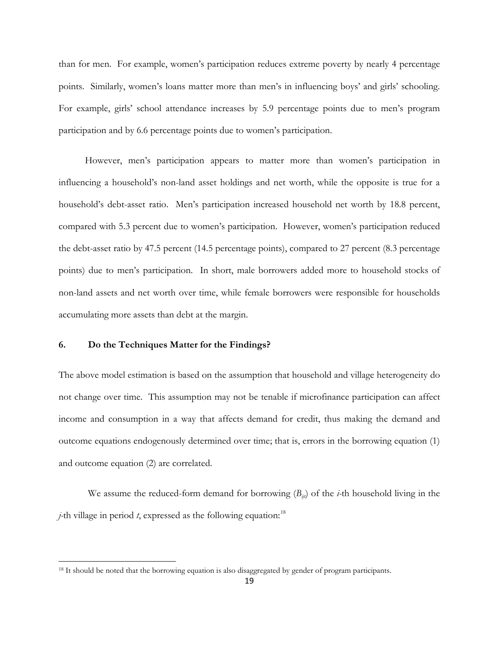than for men. For example, women's participation reduces extreme poverty by nearly 4 percentage points. Similarly, women's loans matter more than men's in influencing boys' and girls' schooling. For example, girls' school attendance increases by 5.9 percentage points due to men's program participation and by 6.6 percentage points due to women's participation.

However, men's participation appears to matter more than women's participation in influencing a household's non-land asset holdings and net worth, while the opposite is true for a household's debt-asset ratio. Men's participation increased household net worth by 18.8 percent, compared with 5.3 percent due to women's participation. However, women's participation reduced the debt-asset ratio by 47.5 percent (14.5 percentage points), compared to 27 percent (8.3 percentage points) due to men's participation. In short, male borrowers added more to household stocks of non-land assets and net worth over time, while female borrowers were responsible for households accumulating more assets than debt at the margin.

#### **6. Do the Techniques Matter for the Findings?**

l

The above model estimation is based on the assumption that household and village heterogeneity do not change over time. This assumption may not be tenable if microfinance participation can affect income and consumption in a way that affects demand for credit, thus making the demand and outcome equations endogenously determined over time; that is, errors in the borrowing equation (1) and outcome equation (2) are correlated.

We assume the reduced-form demand for borrowing  $(B_{ijl})$  of the *i*-th household living in the *j*-th village in period *t*, expressed as the following equation:<sup>[18](#page-20-0)</sup>

<span id="page-20-0"></span><sup>&</sup>lt;sup>18</sup> It should be noted that the borrowing equation is also disaggregated by gender of program participants.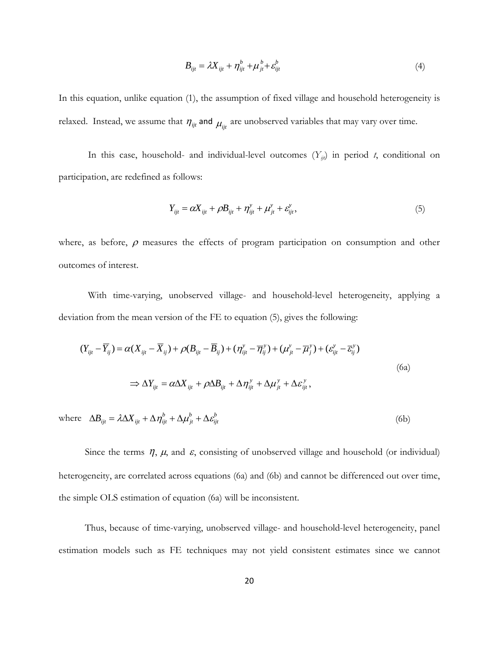$$
B_{ijt} = \lambda X_{ijt} + \eta_{ijt}^b + \mu_{jt}^b + \varepsilon_{ijt}^b
$$
\n<sup>(4)</sup>

In this equation, unlike equation (1), the assumption of fixed village and household heterogeneity is relaxed. Instead, we assume that  $\eta_{ijt}$  and  $\mu_{ijt}$  are unobserved variables that may vary over time.

In this case, household- and individual-level outcomes  $(Y_{ij})$  in period *t*, conditional on participation, are redefined as follows:

$$
Y_{ijt} = \alpha X_{ijt} + \rho B_{ijt} + \eta_{ijt}^{y} + \mu_{jt}^{y} + \varepsilon_{ijt}^{y},
$$
\n(5)

where, as before,  $\rho$  measures the effects of program participation on consumption and other outcomes of interest.

With time-varying, unobserved village- and household-level heterogeneity, applying a deviation from the mean version of the FE to equation (5), gives the following:

$$
(Y_{ijt} - \overline{Y}_{ij}) = \alpha (X_{ijt} - \overline{X}_{ij}) + \rho (B_{ijt} - \overline{B}_{ij}) + (\eta_{ijt}^y - \overline{\eta}_{ij}^y) + (\mu_{jt}^y - \overline{\mu}_{j}^y) + (\varepsilon_{ijt}^y - \overline{\varepsilon}_{ij}^y)
$$
  
\n
$$
\Rightarrow \Delta Y_{ijt} = \alpha \Delta X_{ijt} + \rho \Delta B_{ijt} + \Delta \eta_{ijt}^y + \Delta \mu_{jt}^y + \Delta \varepsilon_{ijt}^y,
$$
\n(6a)

where  $\Delta B_{ijt} = \lambda \Delta X_{ijt} + \Delta \eta_{ijt}^b + \Delta \mu_{jt}^b + \Delta \varepsilon_{ijt}^b$ *b* (6b)

Since the terms  $\eta$ ,  $\mu$ , and  $\varepsilon$ , consisting of unobserved village and household (or individual) heterogeneity, are correlated across equations (6a) and (6b) and cannot be differenced out over time, the simple OLS estimation of equation (6a) will be inconsistent.

Thus, because of time-varying, unobserved village- and household-level heterogeneity, panel estimation models such as FE techniques may not yield consistent estimates since we cannot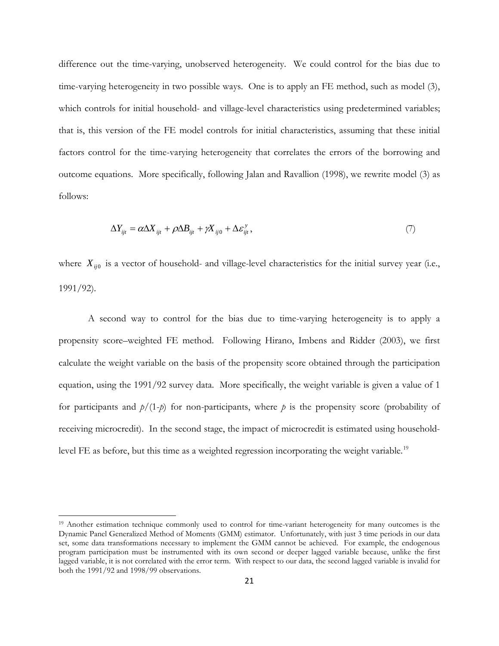difference out the time-varying, unobserved heterogeneity. We could control for the bias due to time-varying heterogeneity in two possible ways. One is to apply an FE method, such as model (3), which controls for initial household- and village-level characteristics using predetermined variables; that is, this version of the FE model controls for initial characteristics, assuming that these initial factors control for the time-varying heterogeneity that correlates the errors of the borrowing and outcome equations. More specifically, following Jalan and Ravallion (1998), we rewrite model (3) as follows:

$$
\Delta Y_{ijt} = \alpha \Delta X_{ijt} + \rho \Delta B_{ijt} + \gamma X_{ij0} + \Delta \varepsilon_{ijt}^{\gamma},\tag{7}
$$

where  $X_{ij0}$  is a vector of household- and village-level characteristics for the initial survey year (i.e., 1991/92).

 A second way to control for the bias due to time-varying heterogeneity is to apply a propensity score–weighted FE method. Following Hirano, Imbens and Ridder (2003), we first calculate the weight variable on the basis of the propensity score obtained through the participation equation, using the 1991/92 survey data. More specifically, the weight variable is given a value of 1 for participants and  $p/(1-p)$  for non-participants, where p is the propensity score (probability of receiving microcredit). In the second stage, the impact of microcredit is estimated using household-level FE as before, but this time as a weighted regression incorporating the weight variable.<sup>[19](#page-22-0)</sup>

<span id="page-22-0"></span><sup>&</sup>lt;sup>19</sup> Another estimation technique commonly used to control for time-variant heterogeneity for many outcomes is the Dynamic Panel Generalized Method of Moments (GMM) estimator. Unfortunately, with just 3 time periods in our data set, some data transformations necessary to implement the GMM cannot be achieved. For example, the endogenous program participation must be instrumented with its own second or deeper lagged variable because, unlike the first lagged variable, it is not correlated with the error term. With respect to our data, the second lagged variable is invalid for both the 1991/92 and 1998/99 observations.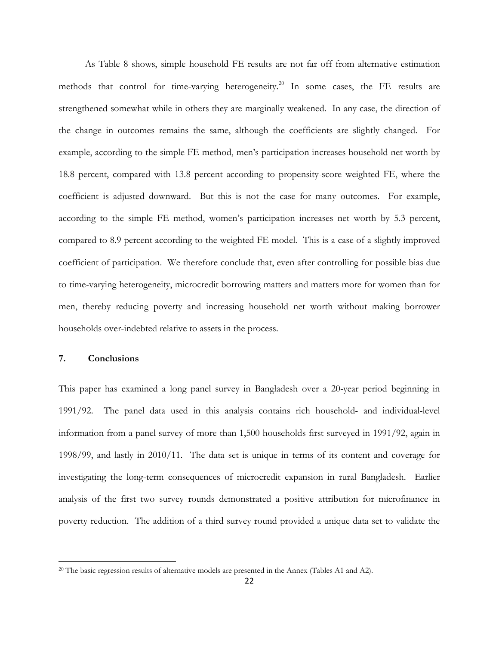As Table 8 shows, simple household FE results are not far off from alternative estimation methods that control for time-varying heterogeneity. [20](#page-23-0) In some cases, the FE results are strengthened somewhat while in others they are marginally weakened. In any case, the direction of the change in outcomes remains the same, although the coefficients are slightly changed. For example, according to the simple FE method, men's participation increases household net worth by 18.8 percent, compared with 13.8 percent according to propensity-score weighted FE, where the coefficient is adjusted downward. But this is not the case for many outcomes. For example, according to the simple FE method, women's participation increases net worth by 5.3 percent, compared to 8.9 percent according to the weighted FE model. This is a case of a slightly improved coefficient of participation. We therefore conclude that, even after controlling for possible bias due to time-varying heterogeneity, microcredit borrowing matters and matters more for women than for men, thereby reducing poverty and increasing household net worth without making borrower households over-indebted relative to assets in the process.

#### **7. Conclusions**

l

This paper has examined a long panel survey in Bangladesh over a 20-year period beginning in 1991/92. The panel data used in this analysis contains rich household- and individual-level information from a panel survey of more than 1,500 households first surveyed in 1991/92, again in 1998/99, and lastly in 2010/11. The data set is unique in terms of its content and coverage for investigating the long-term consequences of microcredit expansion in rural Bangladesh. Earlier analysis of the first two survey rounds demonstrated a positive attribution for microfinance in poverty reduction. The addition of a third survey round provided a unique data set to validate the

<span id="page-23-0"></span><sup>&</sup>lt;sup>20</sup> The basic regression results of alternative models are presented in the Annex (Tables A1 and A2).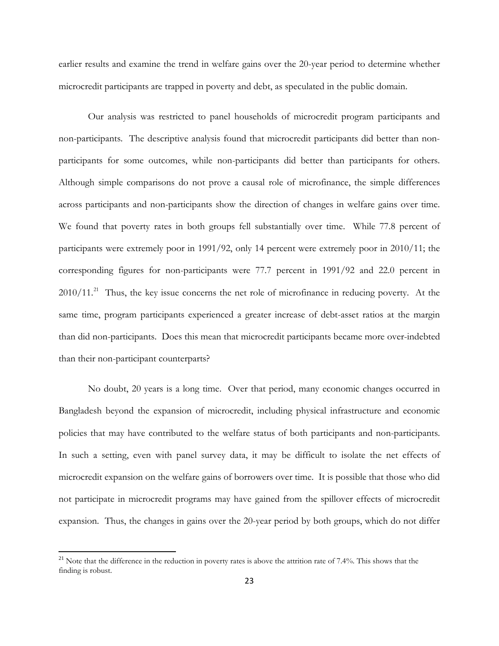earlier results and examine the trend in welfare gains over the 20-year period to determine whether microcredit participants are trapped in poverty and debt, as speculated in the public domain.

Our analysis was restricted to panel households of microcredit program participants and non-participants. The descriptive analysis found that microcredit participants did better than nonparticipants for some outcomes, while non-participants did better than participants for others. Although simple comparisons do not prove a causal role of microfinance, the simple differences across participants and non-participants show the direction of changes in welfare gains over time. We found that poverty rates in both groups fell substantially over time. While 77.8 percent of participants were extremely poor in 1991/92, only 14 percent were extremely poor in 2010/11; the corresponding figures for non-participants were 77.7 percent in 1991/92 and 22.0 percent in 2010/11.<sup>[21](#page-24-0)</sup> Thus, the key issue concerns the net role of microfinance in reducing poverty. At the same time, program participants experienced a greater increase of debt-asset ratios at the margin than did non-participants. Does this mean that microcredit participants became more over-indebted than their non-participant counterparts?

No doubt, 20 years is a long time. Over that period, many economic changes occurred in Bangladesh beyond the expansion of microcredit, including physical infrastructure and economic policies that may have contributed to the welfare status of both participants and non-participants. In such a setting, even with panel survey data, it may be difficult to isolate the net effects of microcredit expansion on the welfare gains of borrowers over time. It is possible that those who did not participate in microcredit programs may have gained from the spillover effects of microcredit expansion. Thus, the changes in gains over the 20-year period by both groups, which do not differ

<span id="page-24-0"></span><sup>&</sup>lt;sup>21</sup> Note that the difference in the reduction in poverty rates is above the attrition rate of 7.4%. This shows that the finding is robust.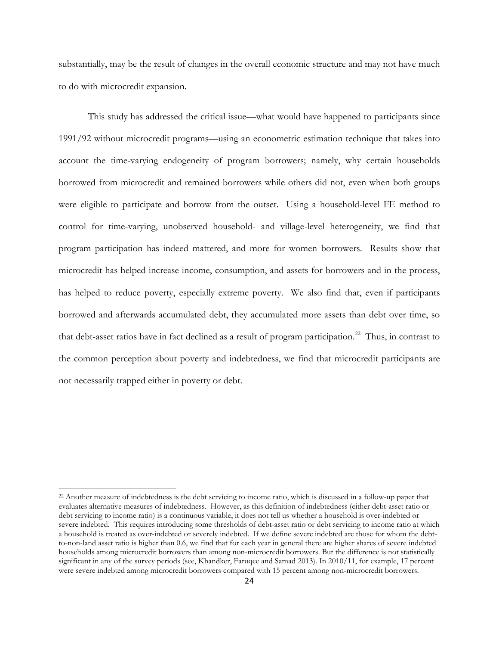substantially, may be the result of changes in the overall economic structure and may not have much to do with microcredit expansion.

This study has addressed the critical issue—what would have happened to participants since 1991/92 without microcredit programs—using an econometric estimation technique that takes into account the time-varying endogeneity of program borrowers; namely, why certain households borrowed from microcredit and remained borrowers while others did not, even when both groups were eligible to participate and borrow from the outset. Using a household-level FE method to control for time-varying, unobserved household- and village-level heterogeneity, we find that program participation has indeed mattered, and more for women borrowers. Results show that microcredit has helped increase income, consumption, and assets for borrowers and in the process, has helped to reduce poverty, especially extreme poverty. We also find that, even if participants borrowed and afterwards accumulated debt, they accumulated more assets than debt over time, so that debt-asset ratios have in fact declined as a result of program participation.<sup>[22](#page-25-0)</sup> Thus, in contrast to the common perception about poverty and indebtedness, we find that microcredit participants are not necessarily trapped either in poverty or debt.

<span id="page-25-0"></span><sup>&</sup>lt;sup>22</sup> Another measure of indebtedness is the debt servicing to income ratio, which is discussed in a follow-up paper that evaluates alternative measures of indebtedness. However, as this definition of indebtedness (either debt-asset ratio or debt servicing to income ratio) is a continuous variable, it does not tell us whether a household is over-indebted or severe indebted. This requires introducing some thresholds of debt-asset ratio or debt servicing to income ratio at which a household is treated as over-indebted or severely indebted. If we define severe indebted are those for whom the debtto-non-land asset ratio is higher than 0.6, we find that for each year in general there are higher shares of severe indebted households among microcredit borrowers than among non-microcredit borrowers. But the difference is not statistically significant in any of the survey periods (see, Khandker, Faruqee and Samad 2013). In 2010/11, for example, 17 percent were severe indebted among microcredit borrowers compared with 15 percent among non-microcredit borrowers.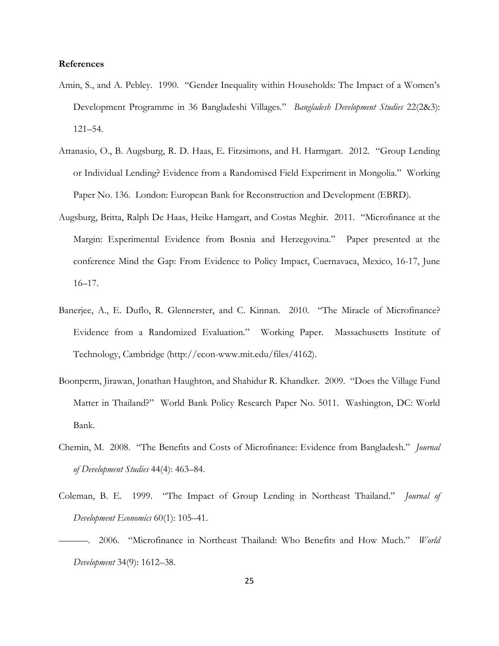#### **References**

- Amin, S., and A. Pebley. 1990. "Gender Inequality within Households: The Impact of a Women's Development Programme in 36 Bangladeshi Villages." *Bangladesh Development Studies* 22(2&3): 121–54.
- Attanasio, O., B. Augsburg, R. D. Haas, E. Fitzsimons, and H. Harmgart. 2012. "Group Lending or Individual Lending? Evidence from a Randomised Field Experiment in Mongolia." Working Paper No. 136. London: European Bank for Reconstruction and Development (EBRD).
- Augsburg, Britta, Ralph De Haas, Heike Hamgart, and Costas Meghir. 2011. "Microfinance at the Margin: Experimental Evidence from Bosnia and Herzegovina." Paper presented at the conference Mind the Gap: From Evidence to Policy Impact, Cuernavaca, Mexico, 16-17, June 16–17.
- Banerjee, A., E. Duflo, R. Glennerster, and C. Kinnan. 2010. "The Miracle of Microfinance? Evidence from a Randomized Evaluation." Working Paper. Massachusetts Institute of Technology, Cambridge (http://econ-www.mit.edu/files/4162).
- Boonperm, Jirawan, Jonathan Haughton, and Shahidur R. Khandker. 2009. "Does the Village Fund Matter in Thailand?" World Bank Policy Research Paper No. 5011. Washington, DC: World Bank.
- Chemin, M. 2008. "The Benefits and Costs of Microfinance: Evidence from Bangladesh." *Journal of Development Studies* 44(4): 463*–*84.
- Coleman, B. E. 1999. "The Impact of Group Lending in Northeast Thailand." *Journal of Development Economics* 60(1): 105–41.
- ———. 2006. "Microfinance in Northeast Thailand: Who Benefits and How Much." *World Development* 34(9): 1612–38.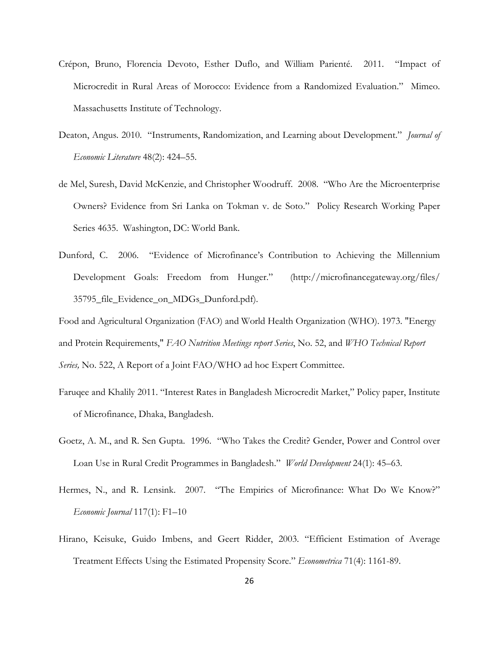- Crépon, Bruno, Florencia Devoto, Esther Duflo, and William Parienté. 2011. "Impact of Microcredit in Rural Areas of Morocco: Evidence from a Randomized Evaluation." Mimeo. Massachusetts Institute of Technology.
- Deaton, Angus. 2010. "Instruments, Randomization, and Learning about Development." *Journal of Economic Literature* 48(2): 424–55.
- de Mel, Suresh, David McKenzie, and Christopher Woodruff. 2008. ["Who Are the Microenterprise](http://ideas.repec.org/p/wbk/wbrwps/4635.html)  [Owners? Evidence from Sri Lanka on Tokman v. de Soto.](http://ideas.repec.org/p/wbk/wbrwps/4635.html)" [Policy Research Working Paper](http://ideas.repec.org/s/wbk/wbrwps.html)  [Series](http://ideas.repec.org/s/wbk/wbrwps.html) 4635. Washington, DC: World Bank.
- Dunford, C. 2006. "Evidence of Microfinance's Contribution to Achieving the Millennium Development Goals: Freedom from Hunger." (http://microfinancegateway.org/files/ 35795\_file\_Evidence\_on\_MDGs\_Dunford.pdf).
- Food and Agricultural Organization (FAO) and World Health Organization (WHO). 1973. "Energy and Protein Requirements," *FAO Nutrition Meetings report Series*, No. 52, and *WHO Technical Report Series,* No. 522, A Report of a Joint FAO/WHO ad hoc Expert Committee.
- Faruqee and Khalily 2011. "Interest Rates in Bangladesh Microcredit Market," Policy paper, Institute of Microfinance, Dhaka, Bangladesh.
- Goetz, A. M., and R. Sen Gupta. 1996. "Who Takes the Credit? Gender, Power and Control over Loan Use in Rural Credit Programmes in Bangladesh." *World Development* 24(1): 45–63.
- Hermes, N., and R. Lensink. 2007. "The Empirics of Microfinance: What Do We Know?" *Economic Journal* 117(1): F1–10
- Hirano, Keisuke, Guido Imbens, and Geert Ridder, 2003. "Efficient Estimation of Average Treatment Effects Using the Estimated Propensity Score." *Econometrica* 71(4): 1161-89.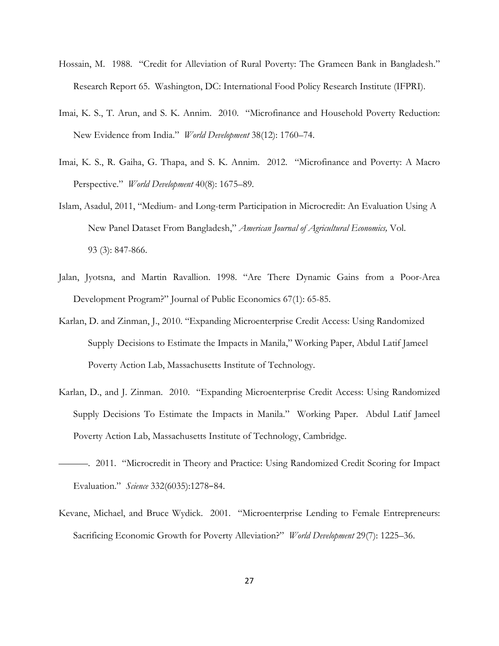- Hossain, M. 1988. "Credit for Alleviation of Rural Poverty: The Grameen Bank in Bangladesh." Research Report 65. Washington, DC: International Food Policy Research Institute (IFPRI).
- Imai, K. S., T. Arun, and S. K. Annim. 2010. "Microfinance and Household Poverty Reduction: New Evidence from India." *World Development* 38(12): 1760–74.
- Imai, K. S., R. Gaiha, G. Thapa, and S. K. Annim. 2012. "Microfinance and Poverty: A Macro Perspective." *World Development* 40(8): 1675–89.
- Islam, Asadul, 2011, "Medium- and Long-term Participation in Microcredit: An Evaluation Using A New Panel Dataset From Bangladesh," *American Journal of Agricultural Economics,* Vol. 93 (3): 847-866.
- Jalan, Jyotsna, and Martin Ravallion. 1998. "Are There Dynamic Gains from a Poor-Area Development Program?" Journal of Public Economics 67(1): 65-85.
- Karlan, D. and Zinman, J., 2010. "Expanding Microenterprise Credit Access: Using Randomized Supply Decisions to Estimate the Impacts in Manila," Working Paper, Abdul Latif Jameel Poverty Action Lab, Massachusetts Institute of Technology.
- Karlan, D., and J. Zinman. 2010. "Expanding Microenterprise Credit Access: Using Randomized Supply Decisions To Estimate the Impacts in Manila." Working Paper. Abdul Latif Jameel Poverty Action Lab, Massachusetts Institute of Technology, Cambridge.
- ———. 2011. "Microcredit in Theory and Practice: Using Randomized Credit Scoring for Impact Evaluation." *Science* 332(6035):1278–84.
- Kevane, Michael, and Bruce Wydick. 2001. "Microenterprise Lending to Female Entrepreneurs: Sacrificing Economic Growth for Poverty Alleviation?" *World Development* 29(7): 1225–36.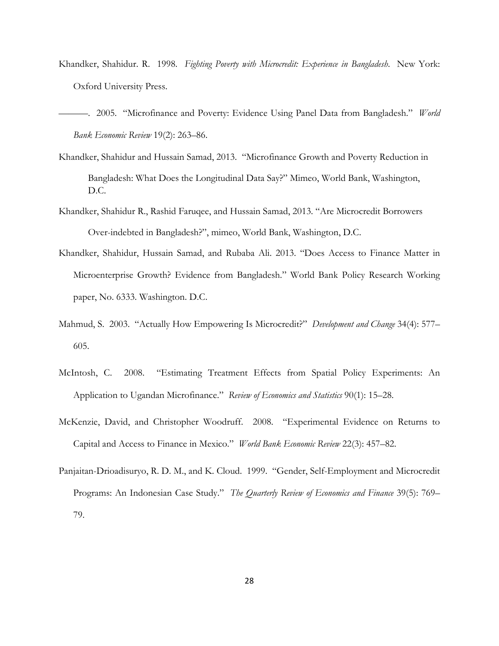[Khandker, Shahidur. R.](http://www.cabdirect.org/search.html?q=au%3A%22Khandker%2C+S.+R.%22) 1998. *[Fighting Poverty with Microcredit: Experience in Bangladesh](http://www.cabdirect.org/search.html?q=do%3A%22Fighting+poverty+with+microcredit%3A+experience+in+Bangladesh.%22)*. New York: Oxford University Press.

———. 2005. ["Microfinance and Poverty: Evidence Using Panel Data from Bangladesh.](http://ideas.repec.org/a/oup/wbecrv/v19y2005i2p263-286.html)" *[World](http://ideas.repec.org/s/oup/wbecrv.html)  [Bank Economic Review](http://ideas.repec.org/s/oup/wbecrv.html)* 19(2): 263–86.

- Khandker, Shahidur and Hussain Samad, 2013. "Microfinance Growth and Poverty Reduction in Bangladesh: What Does the Longitudinal Data Say?" Mimeo, World Bank, Washington, D.C.
- Khandker, Shahidur R., Rashid Faruqee, and Hussain Samad, 2013. "Are Microcredit Borrowers Over-indebted in Bangladesh?", mimeo, World Bank, Washington, D.C.
- Khandker, Shahidur, Hussain Samad, and Rubaba Ali. 2013. "Does Access to Finance Matter in Microenterprise Growth? Evidence from Bangladesh." World Bank Policy Research Working paper, No. 6333. Washington. D.C.
- Mahmud, S. 2003. "Actually How Empowering Is Microcredit?" *Development and Change* 34(4): 577– 605.
- McIntosh, C. 2008. "Estimating Treatment Effects from Spatial Policy Experiments: An Application to Ugandan Microfinance." *Review of Economics and Statistics* 90(1): 15–28.
- McKenzie, David, and Christopher Woodruff. 2008. "Experimental Evidence on Returns to Capital and Access to Finance in Mexico." *World Bank Economic Review* 22(3): 457–82.
- Panjaitan-Drioadisuryo, R. D. M., and K. Cloud. 1999. "Gender, Self-Employment and Microcredit Programs: An Indonesian Case Study." *The Quarterly Review of Economics and Finance* 39(5): 769– 79.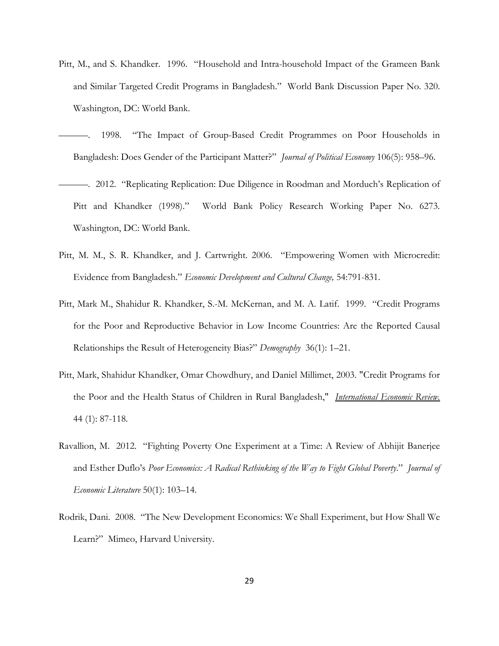- Pitt, M., and S. Khandker. 1996. "Household and Intra-household Impact of the Grameen Bank and Similar Targeted Credit Programs in Bangladesh." World Bank Discussion Paper No. 320. Washington, DC: World Bank.
- 1998. "The Impact of Group-Based Credit Programmes on Poor Households in Bangladesh: Does Gender of the Participant Matter?" *Journal of Political Economy* 106(5): 958–96.
- ———. 2012. "Replicating Replication: Due Diligence in Roodman and Morduch's Replication of Pitt and Khandker (1998)." World Bank Policy Research Working Paper No. 6273. Washington, DC: World Bank.
- Pitt, M. M., S. R. Khandker, and J. Cartwright. 2006. "Empowering Women with Microcredit: Evidence from Bangladesh." *Economic Development and Cultural Change,* 54:791-831.
- Pitt, Mark M., Shahidur R. Khandker, S.-M. McKernan, and M. A. Latif. 1999. "Credit Programs for the Poor and Reproductive Behavior in Low Income Countries: Are the Reported Causal Relationships the Result of Heterogeneity Bias?" *Demography* 36(1): 1–21.
- Pitt, Mark, Shahidur Khandker, Omar Chowdhury, and Daniel Millimet, 2003. "Credit Programs for the Poor and the Health Status of Children in Rural Bangladesh," *International Economic Review.* 44 (1): 87-118.
- Ravallion, M. 2012. "Fighting Poverty One Experiment at a Time: A Review of Abhijit Banerjee and Esther Duflo's *Poor Economics: A Radical Rethinking of the Way to Fight Global Poverty*." *Journal of Economic Literature* 50(1): 103–14.
- Rodrik, Dani. 2008. "The New Development Economics: We Shall Experiment, but How Shall We Learn?" Mimeo, Harvard University.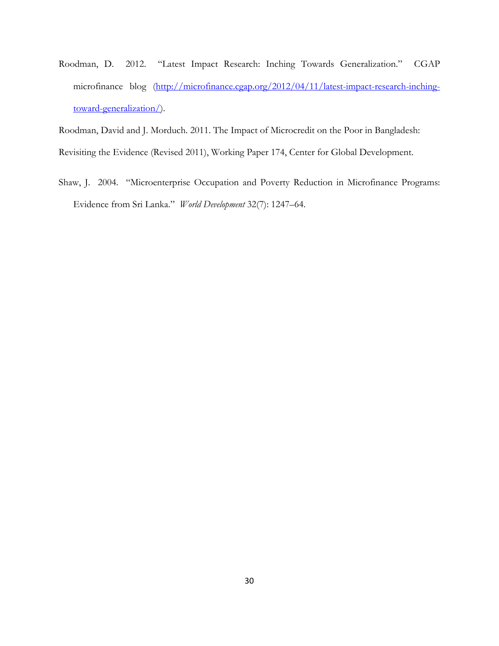Roodman, D. 2012. ["Latest Impact Research: Inching Towards Generalization.](http://microfinance.cgap.org/2012/04/11/latest-impact-research-inching-toward-generalization/)" CGAP microfinance blog [\(http://microfinance.cgap.org/2012/04/11/latest-impact-research-inching](http://microfinance.cgap.org/2012/04/11/latest-impact-research-inching-toward-generalization/)[toward-generalization/\)](http://microfinance.cgap.org/2012/04/11/latest-impact-research-inching-toward-generalization/).

Roodman, David and J. Morduch. 2011. The Impact of Microcredit on the Poor in Bangladesh:

Revisiting the Evidence (Revised 2011), Working Paper 174, Center for Global Development.

Shaw, J. 2004. "Microenterprise Occupation and Poverty Reduction in Microfinance Programs: Evidence from Sri Lanka." *World Development* 32(7): 1247–64.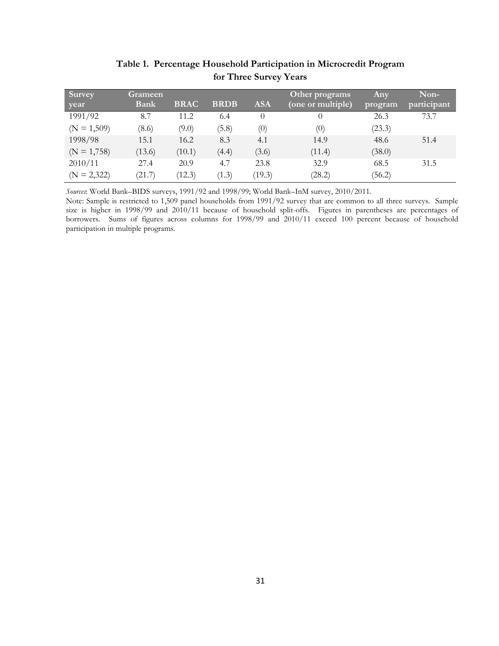| Survey        | <b>Grameen</b> |             |             |            | Other programs    | <b>Any</b> | Non-        |
|---------------|----------------|-------------|-------------|------------|-------------------|------------|-------------|
| year          | Bank           | <b>BRAC</b> | <b>BRDB</b> | <b>ASA</b> | (one or multiple) | program    | participant |
| 1991/92       | 8.7            | 11.2        | 6.4         |            |                   | 26.3       | 73.7        |
| $(N = 1,509)$ | (8.6)          | (9.0)       | (5.8)       | (0)        | (0)               | (23.3)     |             |
| 1998/98       | 15.1           | 16.2        | 8.3         | 4.1        | 14.9              | 48.6       | 51.4        |
| $(N = 1,758)$ | (13.6)         | (10.1)      | (4.4)       | (3.6)      | (11.4)            | (38.0)     |             |
| 2010/11       | 27.4           | 20.9        | 4.7         | 23.8       | 32.9              | 68.5       | 31.5        |
| $(N = 2,322)$ | (21.7)         | (12.3)      | (1.3)       | (19.3)     | (28.2)            | (56.2)     |             |

**Table 1. Percentage Household Participation in Microcredit Program for Three Survey Years**

*Sources*: World Bank–BIDS surveys, 1991/92 and 1998/99; World Bank–InM survey, 2010/2011.

Note: Sample is restricted to 1,509 panel households from 1991/92 survey that are common to all three surveys. Sample size is higher in 1998/99 and 2010/11 because of household split-offs. Figures in parentheses are percentages of borrowers. Sums of figures across columns for 1998/99 and 2010/11 exceed 100 percent because of household participation in multiple programs.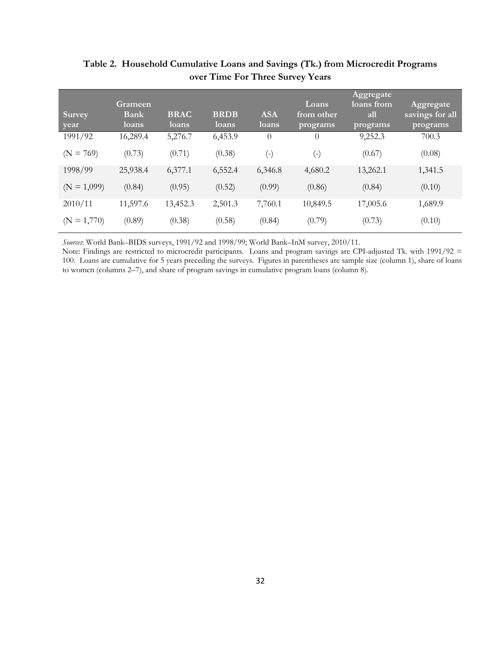| <b>Survey</b><br>year        | <b>Grameen</b><br><b>Bank</b><br>loans | <b>BRAC</b><br>loans | <b>BRDB</b><br>loans | <b>ASA</b><br>loans | Loans<br>from other<br>programs | Aggregate<br>loans from<br>all<br>programs | Aggregate<br>savings for all<br>programs |
|------------------------------|----------------------------------------|----------------------|----------------------|---------------------|---------------------------------|--------------------------------------------|------------------------------------------|
| 1991/92                      | 16,289.4                               | 5,276.7              | 6,453.9              | $\Omega$            | $\theta$                        | 9,252.3                                    | 700.3                                    |
| $= 769$<br>(N <sup>2</sup> ) | (0.73)                                 | (0.71)               | (0.38)               | 9                   | $(\textnormal{-})$              | (0.67)                                     | (0.08)                                   |
| 1998/99                      | 25,938.4                               | 6,377.1              | 6,552.4              | 6,346.8             | 4,680.2                         | 13,262.1                                   | 1,341.5                                  |
| $(N = 1,099)$                | (0.84)                                 | (0.95)               | (0.52)               | (0.99)              | (0.86)                          | (0.84)                                     | (0.10)                                   |
| 2010/11                      | 11,597.6                               | 13,452.3             | 2,501.3              | 7,760.1             | 10,849.5                        | 17,005.6                                   | 1,689.9                                  |
| $= 1,770$<br>(N              | (0.89)                                 | (0.38)               | (0.58)               | (0.84)              | (0.79)                          | (0.73)                                     | (0.10)                                   |

# **Table 2. Household Cumulative Loans and Savings (Tk.) from Microcredit Programs over Time For Three Survey Years**

*Sources*: World Bank–BIDS surveys, 1991/92 and 1998/99; World Bank–InM survey, 2010/11.

Note: Findings are restricted to microcredit participants. Loans and program savings are CPI-adjusted Tk. with 1991/92 = 100. Loans are cumulative for 5 years preceding the surveys. Figures in parentheses are sample size (column 1), share of loans to women (columns 2–7), and share of program savings in cumulative program loans (column 8).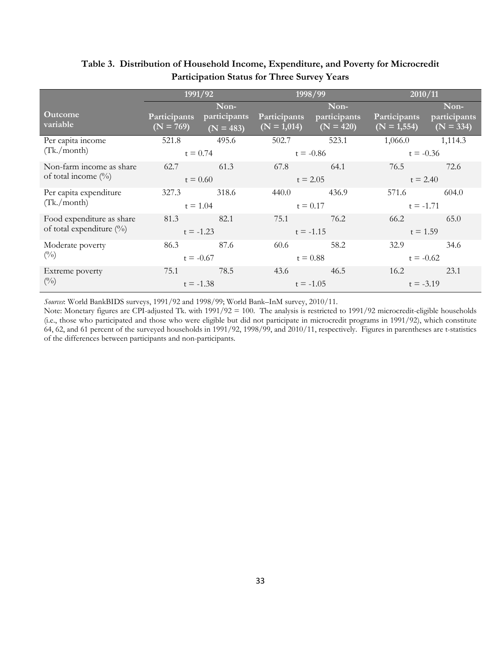|                                                          |                             | 1991/92                             |                               | 1998/99                                      | 2010/11                        |                                     |
|----------------------------------------------------------|-----------------------------|-------------------------------------|-------------------------------|----------------------------------------------|--------------------------------|-------------------------------------|
| <b>Outcome</b><br>variable                               | Participants<br>$(N = 769)$ | Non-<br>participants<br>$(N = 483)$ | Participants<br>$(N = 1,014)$ | Non-<br>participants<br>$\overline{N} = 420$ | Participants<br>$(N = 1, 554)$ | Non-<br>participants<br>$(N = 334)$ |
| Per capita income<br>(Tk./month)                         | 521.8                       | 495.6<br>$t = 0.74$                 | 502.7                         | 523.1<br>$t = -0.86$                         | 1,066.0<br>$t = -0.36$         | 1,114.3                             |
| Non-farm income as share<br>of total income $(\%)$       | 62.7                        | 61.3<br>$t = 0.60$                  | 67.8                          | 64.1<br>$t = 2.05$                           | 76.5<br>$t = 2.40$             | 72.6                                |
| Per capita expenditure<br>(Tk./month)                    | 327.3<br>$t = 1.04$         | 318.6                               | 440.0                         | 436.9<br>$t = 0.17$                          | 571.6<br>$t = -1.71$           | 604.0                               |
| Food expenditure as share<br>of total expenditure $(\%)$ | 81.3<br>$t = -1.23$         | 82.1                                | 75.1                          | 76.2<br>$t = -1.15$                          | 66.2<br>$t = 1.59$             | 65.0                                |
| Moderate poverty<br>$\binom{0}{0}$                       | 86.3<br>$t = -0.67$         | 87.6                                | 60.6                          | 58.2<br>$t = 0.88$                           | 32.9<br>$t = -0.62$            | 34.6                                |
| Extreme poverty<br>$\binom{0}{0}$                        | 75.1                        | 78.5<br>$t = -1.38$                 | 43.6                          | 46.5<br>$t = -1.05$                          | 16.2<br>$t = -3.19$            | 23.1                                |

## **Table 3. Distribution of Household Income, Expenditure, and Poverty for Microcredit Participation Status for Three Survey Years**

*Sources*: World BankBIDS surveys, 1991/92 and 1998/99; World Bank–InM survey, 2010/11.

Note: Monetary figures are CPI-adjusted Tk. with 1991/92 = 100. The analysis is restricted to 1991/92 microcredit-eligible households (i.e., those who participated and those who were eligible but did not participate in microcredit programs in 1991/92), which constitute 64, 62, and 61 percent of the surveyed households in 1991/92, 1998/99, and 2010/11, respectively. Figures in parentheses are t-statistics of the differences between participants and non-participants.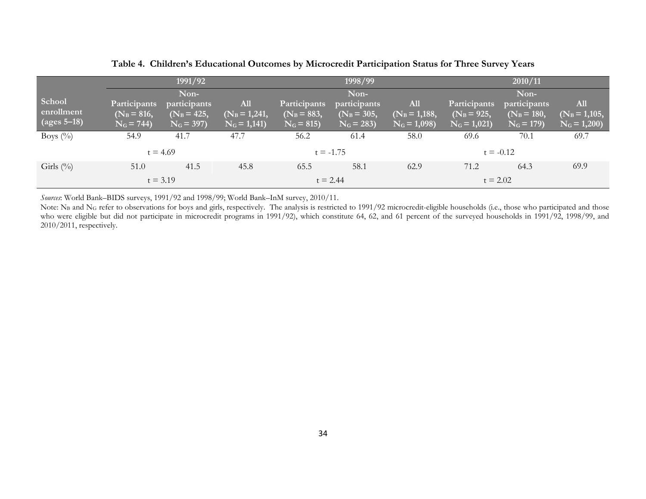|                |                     | 1991/92       |                 |               | 1998/99       |                 |               | 2010/11       |                 |  |
|----------------|---------------------|---------------|-----------------|---------------|---------------|-----------------|---------------|---------------|-----------------|--|
|                |                     | Non-          |                 |               | Non-          |                 |               | Non-          |                 |  |
| School         | <b>Participants</b> | participants  | <b>All</b>      | Participants  | participants  | All             | Participants  | participants  | <b>All</b>      |  |
| enrollment     | $(N_B = 816,$       | $(N_B = 425,$ | $(N_B = 1,241,$ | $(N_B = 883,$ | $(N_B = 305,$ | $(N_B = 1,188,$ | $(N_B = 925,$ | $(N_B = 180,$ | $(N_B = 1,105,$ |  |
| (ages $5-18$ ) | $N_G = 744$         | $N_G = 397$   | $N_G = 1,141$   | $N_G = 815$   | $N_G = 283$   | $N_G = 1,098$   | $N_G = 1,021$ | $N_G = 179$   | $N_G = 1,200$   |  |
| Boys $(\%)$    | 54.9                | 41.7          | 47.7            | 56.2          | 61.4          | 58.0            | 69.6          | 70.1          | 69.7            |  |
|                |                     | $t = 4.69$    |                 |               | $t = -1.75$   |                 |               | $t = -0.12$   |                 |  |
| Girls $(\%)$   | 51.0                | 41.5          | 45.8            | 65.5          | 58.1          | 62.9            | 71.2          | 64.3          | 69.9            |  |
|                |                     | $t = 3.19$    |                 |               | $t = 2.44$    |                 | $t = 2.02$    |               |                 |  |

**Table 4. Children's Educational Outcomes by Microcredit Participation Status for Three Survey Years**

*Sources*: World Bank–BIDS surveys, 1991/92 and 1998/99; World Bank–InM survey, 2010/11.

Note: NB and NG refer to observations for boys and girls, respectively. The analysis is restricted to 1991/92 microcredit-eligible households (i.e., those who participated and those who were eligible but did not participate in microcredit programs in 1991/92), which constitute 64, 62, and 61 percent of the surveyed households in 1991/92, 1998/99, and 2010/2011, respectively.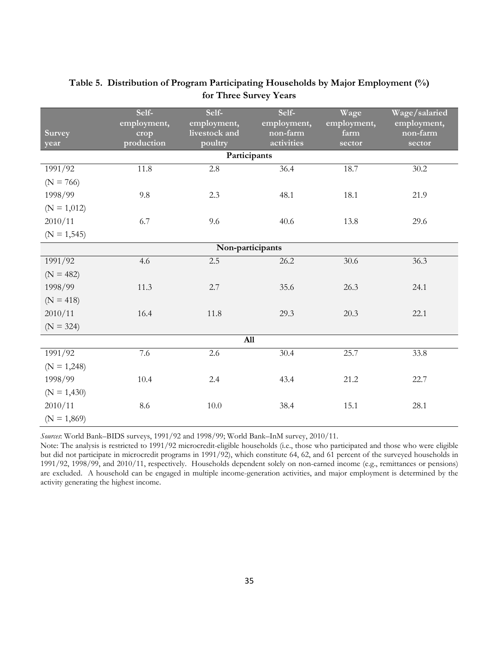|                  | Self-<br>employment, | Self-<br>employment,     | Self-<br>employment,   | Wage<br>employment, | Wage/salaried<br>employment, |  |  |  |  |  |  |
|------------------|----------------------|--------------------------|------------------------|---------------------|------------------------------|--|--|--|--|--|--|
| <b>Survey</b>    | crop<br>production   | livestock and<br>poultry | non-farm<br>activities | farm                | non-farm                     |  |  |  |  |  |  |
| year             |                      | Participants             |                        | sector              | sector                       |  |  |  |  |  |  |
| 1991/92          | 11.8                 | 2.8                      | 36.4                   | 18.7                | 30.2                         |  |  |  |  |  |  |
|                  |                      |                          |                        |                     |                              |  |  |  |  |  |  |
| $(N = 766)$      |                      |                          |                        |                     |                              |  |  |  |  |  |  |
| 1998/99          | 9.8                  | 2.3                      | 48.1                   | 18.1                | 21.9                         |  |  |  |  |  |  |
| $(N = 1,012)$    |                      |                          |                        |                     |                              |  |  |  |  |  |  |
| 2010/11          | 6.7                  | 9.6                      | 40.6                   | 13.8                | 29.6                         |  |  |  |  |  |  |
| $(N = 1, 545)$   |                      |                          |                        |                     |                              |  |  |  |  |  |  |
| Non-participants |                      |                          |                        |                     |                              |  |  |  |  |  |  |
| 1991/92          | 4.6                  | 2.5                      | 26.2                   | 30.6                | 36.3                         |  |  |  |  |  |  |
| $(N = 482)$      |                      |                          |                        |                     |                              |  |  |  |  |  |  |
| 1998/99          | 11.3                 | 2.7                      | 35.6                   | 26.3                | 24.1                         |  |  |  |  |  |  |
| $(N = 418)$      |                      |                          |                        |                     |                              |  |  |  |  |  |  |
| 2010/11          | 16.4                 | 11.8                     | 29.3                   | 20.3                | 22.1                         |  |  |  |  |  |  |
| $(N = 324)$      |                      |                          |                        |                     |                              |  |  |  |  |  |  |
|                  |                      | A11                      |                        |                     |                              |  |  |  |  |  |  |
| 1991/92          | 7.6                  | 2.6                      | 30.4                   | 25.7                | 33.8                         |  |  |  |  |  |  |
| $(N = 1,248)$    |                      |                          |                        |                     |                              |  |  |  |  |  |  |
| 1998/99          | 10.4                 | 2.4                      | 43.4                   | 21.2                | 22.7                         |  |  |  |  |  |  |
| $(N = 1,430)$    |                      |                          |                        |                     |                              |  |  |  |  |  |  |
| 2010/11          | 8.6                  | $10.0\,$                 | 38.4                   | 15.1                | 28.1                         |  |  |  |  |  |  |
| $(N = 1,869)$    |                      |                          |                        |                     |                              |  |  |  |  |  |  |

# **Table 5. Distribution of Program Participating Households by Major Employment (%) for Three Survey Years**

*Sources*: World Bank–BIDS surveys, 1991/92 and 1998/99; World Bank–InM survey, 2010/11.

Note: The analysis is restricted to 1991/92 microcredit-eligible households (i.e., those who participated and those who were eligible but did not participate in microcredit programs in 1991/92), which constitute 64, 62, and 61 percent of the surveyed households in 1991/92, 1998/99, and 2010/11, respectively. Households dependent solely on non-earned income (e.g., remittances or pensions) are excluded. A household can be engaged in multiple income-generation activities, and major employment is determined by the activity generating the highest income.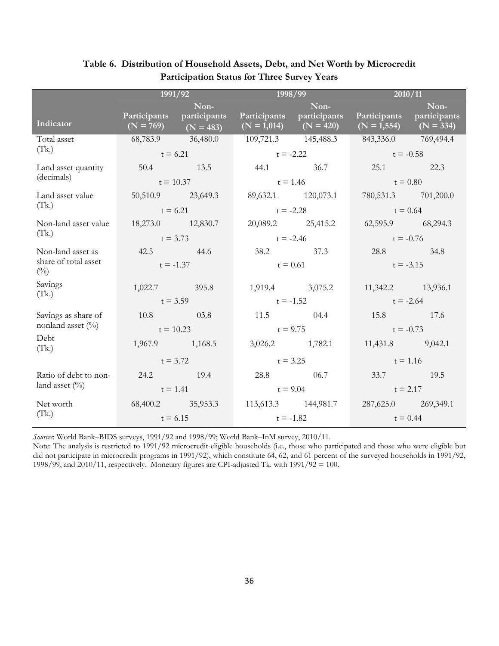|                               |                   | 1991/92                                              | 1998/99             |                                                        | 2010/11                                                |             |  |
|-------------------------------|-------------------|------------------------------------------------------|---------------------|--------------------------------------------------------|--------------------------------------------------------|-------------|--|
|                               |                   | Non-                                                 |                     | Non-                                                   |                                                        | Non-        |  |
| Indicator                     |                   | Participants participants<br>$(N = 769)$ $(N = 483)$ |                     | Participants participants<br>$(N = 1,014)$ $(N = 420)$ | Participants participants<br>$(N = 1,554)$ $(N = 334)$ |             |  |
| Total asset                   | 68,783.9 36,480.0 |                                                      | 109,721.3 145,488.3 |                                                        | 843,336.0 769,494.4                                    |             |  |
| (Tk.)                         | $t = 6.21$        |                                                      | $t = -2.22$         |                                                        | $t = -0.58$                                            |             |  |
| Land asset quantity           |                   | 50.4 13.5                                            |                     |                                                        | 25.1 22.3                                              |             |  |
| (decimals)                    | $t = 10.37$       |                                                      | $t = 1.46$          |                                                        | $t = 0.80$                                             |             |  |
| Land asset value              |                   | 50,510.9 23,649.3                                    |                     | 89,632.1 120,073.1                                     | 780,531.3 701,200.0                                    |             |  |
| (Tk.)                         | $t = 6.21$        |                                                      | $t = -2.28$         |                                                        | $t = 0.64$                                             |             |  |
| Non-land asset value          | 18,273.0 12,830.7 |                                                      |                     | 20,089.2 25,415.2                                      | 62,595.9 68,294.3                                      |             |  |
| (Tk.)                         | $t = 3.73$        |                                                      | $t = -2.46$         |                                                        | $t = -0.76$                                            |             |  |
| Non-land asset as             | 42.5 44.6         |                                                      |                     | 38.2 37.3                                              | 28.8 34.8                                              |             |  |
| share of total asset<br>(0/0) | $t = -1.37$       |                                                      |                     | $t = 0.61$                                             |                                                        | $t = -3.15$ |  |
| Savings                       | 1,022.7 395.8     |                                                      |                     | 1,919.4 3,075.2                                        | 11,342.2 13,936.1                                      |             |  |
| (Tk.)                         | $t = 3.59$        |                                                      | $t = -1.52$         |                                                        | $t = -2.64$                                            |             |  |
| Savings as share of           | 10.8 03.8         |                                                      |                     | 11.5 		 04.4                                           | 15.8 17.6                                              |             |  |
| nonland asset $(\%)$          | $t = 10.23$       |                                                      |                     | $t = 9.75$                                             | $t = -0.73$                                            |             |  |
| Debt<br>(Tk.)                 | 1,967.9 1,168.5   |                                                      |                     | 3,026.2 1,782.1                                        | 11,431.8 9,042.1                                       |             |  |
|                               | $t = 3.72$        |                                                      |                     | $t = 3.25$                                             | $t = 1.16$                                             |             |  |
| Ratio of debt to non-         | 24.2 19.4         |                                                      |                     | 28.8 		 06.7                                           | 33.7 19.5                                              |             |  |
| land asset $(\%)$             | $t = 1.41$        |                                                      | $t = 9.04$          |                                                        | $t = 2.17$                                             |             |  |
| Net worth                     |                   | 68,400.2 35,953.3                                    |                     | 113,613.3 144,981.7                                    | 287,625.0 269,349.1                                    |             |  |
| (Tk.)                         | $t = 6.15$        |                                                      | $t = -1.82$         |                                                        |                                                        | $t = 0.44$  |  |

# **Table 6. Distribution of Household Assets, Debt, and Net Worth by Microcredit Participation Status for Three Survey Years**

*Sources*: World Bank–BIDS surveys, 1991/92 and 1998/99; World Bank–InM survey, 2010/11.

Note: The analysis is restricted to 1991/92 microcredit-eligible households (i.e., those who participated and those who were eligible but did not participate in microcredit programs in 1991/92), which constitute 64, 62, and 61 percent of the surveyed households in 1991/92, 1998/99, and 2010/11, respectively. Monetary figures are CPI-adjusted Tk. with 1991/92 = 100.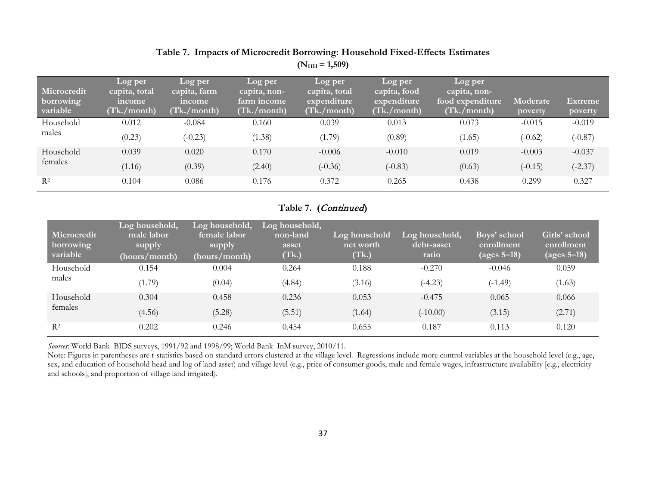# **Table 7. Impacts of Microcredit Borrowing: Household Fixed-Effects Estimates**  $(N_{HH} = 1,509)$

| Microcredit<br>borrowing<br>variable | Log per<br>capita, total<br>income<br>(Tk./month) | Log per<br>capita, farm<br>income<br>(Tk./month) | Log per<br>capita, non-<br>farm income<br>(Tk./month) | Log per<br>capita, total<br>expenditure<br>(Tk./month) | Log per<br>capita, food<br>expenditure<br>(Tk./month) | Log per<br>capita, non-<br>food expenditure<br>(Tk./month) | Moderate<br>poverty | <b>Extreme</b><br>poverty |
|--------------------------------------|---------------------------------------------------|--------------------------------------------------|-------------------------------------------------------|--------------------------------------------------------|-------------------------------------------------------|------------------------------------------------------------|---------------------|---------------------------|
| Household                            | 0.012                                             | $-0.084$                                         | 0.160                                                 | 0.039                                                  | 0.013                                                 | 0.073                                                      | $-0.015$            | $-0.019$                  |
| males                                | (0.23)                                            | $(-0.23)$                                        | (1.38)                                                | (1.79)                                                 | (0.89)                                                | (1.65)                                                     | $(-0.62)$           | $(-0.87)$                 |
| Household                            | 0.039                                             | 0.020                                            | 0.170                                                 | $-0.006$                                               | $-0.010$                                              | 0.019                                                      | $-0.003$            | $-0.037$                  |
| females                              | (1.16)                                            | (0.39)                                           | (2.40)                                                | $(-0.36)$                                              | $(-0.83)$                                             | (0.63)                                                     | $(-0.15)$           | $(-2.37)$                 |
| $R^2$                                | 0.104                                             | 0.086                                            | 0.176                                                 | 0.372                                                  | 0.265                                                 | 0.438                                                      | 0.299               | 0.327                     |

# **Table 7. (**Continued**)**

| <b>Microcredit</b><br>borrowing<br>variable | Log household,<br>male labor<br>supply<br>(hours/month) | Log household,<br>female labor<br>supply<br>(hours/month) | Log household,<br>non-land<br>asset<br>(Tk.) | Log household<br>net worth<br>(Tk.) | Log household,<br>debt-asset<br>ratio | Boys' school<br>enrollment<br>(ages $5-18$ ) | Girls' school<br>enrollment<br>(ages $5 - 18$ ) |
|---------------------------------------------|---------------------------------------------------------|-----------------------------------------------------------|----------------------------------------------|-------------------------------------|---------------------------------------|----------------------------------------------|-------------------------------------------------|
| Household                                   | 0.154                                                   | 0.004                                                     | 0.264                                        | 0.188                               | $-0.270$                              | $-0.046$                                     | 0.059                                           |
| males                                       | (1.79)                                                  | (0.04)                                                    | (4.84)                                       | (3.16)                              | $(-4.23)$                             | $(-1.49)$                                    | (1.63)                                          |
| Household                                   | 0.304                                                   | 0.458                                                     | 0.236                                        | 0.053                               | $-0.475$                              | 0.065                                        | 0.066                                           |
| females                                     | (4.56)                                                  | (5.28)                                                    | (5.51)                                       | (1.64)                              | $(-10.00)$                            | (3.15)                                       | (2.71)                                          |
| $R^2$                                       | 0.202                                                   | 0.246                                                     | 0.454                                        | 0.655                               | 0.187                                 | 0.113                                        | 0.120                                           |

*Sources*: World Bank–BIDS surveys, 1991/92 and 1998/99; World Bank–InM survey, 2010/11.

Note: Figures in parentheses are t-statistics based on standard errors clustered at the village level. Regressions include more control variables at the household level (e.g., age, sex, and education of household head and log of land asset) and village level (e.g., price of consumer goods, male and female wages, infrastructure availability [e.g., electricity and schools], and proportion of village land irrigated).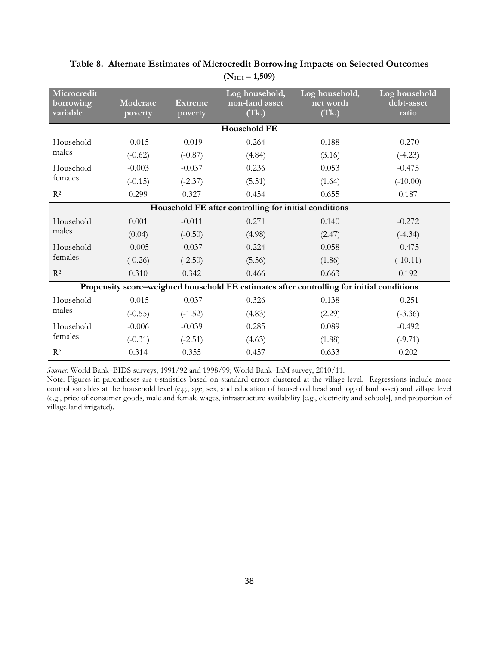| Microcredit<br>borrowing<br>variable                  | Moderate<br>poverty | Extreme<br>poverty | Log household,<br>non-land asset<br>(Tk.)                                                 | Log household,<br>net worth<br>(Tk.) | Log household<br>debt-asset<br>ratio |  |  |  |  |  |  |
|-------------------------------------------------------|---------------------|--------------------|-------------------------------------------------------------------------------------------|--------------------------------------|--------------------------------------|--|--|--|--|--|--|
| <b>Household FE</b>                                   |                     |                    |                                                                                           |                                      |                                      |  |  |  |  |  |  |
| Household                                             | $-0.015$            | $-0.019$           | 0.264                                                                                     | 0.188                                | $-0.270$                             |  |  |  |  |  |  |
| males                                                 | $(-0.62)$           | $(-0.87)$          | (4.84)                                                                                    | (3.16)                               | $(-4.23)$                            |  |  |  |  |  |  |
| Household                                             | $-0.003$            | $-0.037$           | 0.236                                                                                     | 0.053                                | $-0.475$                             |  |  |  |  |  |  |
| females                                               | $(-0.15)$           | $(-2.37)$          | (5.51)                                                                                    | (1.64)                               | $(-10.00)$                           |  |  |  |  |  |  |
| $R^2$                                                 | 0.299               | 0.327              | 0.454                                                                                     | 0.655                                | 0.187                                |  |  |  |  |  |  |
| Household FE after controlling for initial conditions |                     |                    |                                                                                           |                                      |                                      |  |  |  |  |  |  |
| Household                                             | 0.001               | $-0.011$           | 0.271                                                                                     | 0.140                                | $-0.272$                             |  |  |  |  |  |  |
| males                                                 | (0.04)              | $(-0.50)$          | (4.98)                                                                                    | (2.47)                               | $(-4.34)$                            |  |  |  |  |  |  |
| Household                                             | $-0.005$            | $-0.037$           | 0.224                                                                                     | 0.058                                | $-0.475$                             |  |  |  |  |  |  |
| females                                               | $(-0.26)$           | $(-2.50)$          | (5.56)                                                                                    | (1.86)                               | $(-10.11)$                           |  |  |  |  |  |  |
| $R^2$                                                 | 0.310               | 0.342              | 0.466                                                                                     | 0.663                                | 0.192                                |  |  |  |  |  |  |
|                                                       |                     |                    | Propensity score-weighted household FE estimates after controlling for initial conditions |                                      |                                      |  |  |  |  |  |  |
| Household                                             | $-0.015$            | $-0.037$           | 0.326                                                                                     | 0.138                                | $-0.251$                             |  |  |  |  |  |  |
| males                                                 | $(-0.55)$           | $(-1.52)$          | (4.83)                                                                                    | (2.29)                               | $(-3.36)$                            |  |  |  |  |  |  |
| Household                                             | $-0.006$            | $-0.039$           | 0.285                                                                                     | 0.089                                | $-0.492$                             |  |  |  |  |  |  |
| females                                               | $(-0.31)$           | $(-2.51)$          | (4.63)                                                                                    | (1.88)                               | $(-9.71)$                            |  |  |  |  |  |  |
| $R^2$                                                 | 0.314               | 0.355              | 0.457                                                                                     | 0.633                                | 0.202                                |  |  |  |  |  |  |

## **Table 8. Alternate Estimates of Microcredit Borrowing Impacts on Selected Outcomes**  $(N_{HH} = 1,509)$

*Sources*: World Bank–BIDS surveys, 1991/92 and 1998/99; World Bank–InM survey, 2010/11.

Note: Figures in parentheses are t-statistics based on standard errors clustered at the village level. Regressions include more control variables at the household level (e.g., age, sex, and education of household head and log of land asset) and village level (e.g., price of consumer goods, male and female wages, infrastructure availability [e.g., electricity and schools], and proportion of village land irrigated).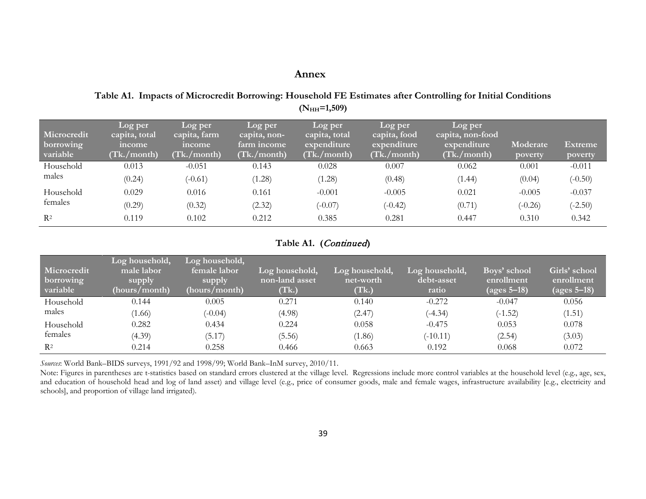# **Annex**

**Table A1. Impacts of Microcredit Borrowing: Household FE Estimates after Controlling for Initial Conditions (NHH=1,509)**

| <b>Microcredit</b><br>borrowing<br>variable | Log per<br>capita, total<br>income<br>(Tk./month) | Log per<br>capita, farm<br>income<br>(Tk./month) | Log per<br>capita, non-<br>farm income<br>(Tk./month) | Log per<br>capita, total<br>expenditure<br>(Tk./month) | Log per<br>capita, food<br>expenditure<br>(Tk./month) | Log per<br>capita, non-food<br>expenditure<br>(Tk./month) | Moderate<br>poverty | <b>Extreme</b><br>poverty |
|---------------------------------------------|---------------------------------------------------|--------------------------------------------------|-------------------------------------------------------|--------------------------------------------------------|-------------------------------------------------------|-----------------------------------------------------------|---------------------|---------------------------|
| Household                                   | 0.013                                             | $-0.051$                                         | 0.143                                                 | 0.028                                                  | 0.007                                                 | 0.062                                                     | 0.001               | $-0.011$                  |
| males                                       | (0.24)                                            | $(-0.61)$                                        | (1.28)                                                | (1.28)                                                 | (0.48)                                                | (1.44)                                                    | (0.04)              | $(-0.50)$                 |
| Household                                   | 0.029                                             | 0.016                                            | 0.161                                                 | $-0.001$                                               | $-0.005$                                              | 0.021                                                     | $-0.005$            | $-0.037$                  |
| females                                     | (0.29)                                            | (0.32)                                           | (2.32)                                                | $(-0.07)$                                              | $(-0.42)$                                             | (0.71)                                                    | $(-0.26)$           | $(-2.50)$                 |
| $R^2$                                       | 0.119                                             | 0.102                                            | 0.212                                                 | 0.385                                                  | 0.281                                                 | 0.447                                                     | 0.310               | 0.342                     |

#### **Table A1. (**Continued**)**

| Microcredit<br>borrowing<br>variable | Log household,<br>male labor<br>supply<br>(hours/month) | Log household,<br>female labor<br>supply<br>(hours/month) | Log household,<br>non-land asset<br>(Tk.) | Log household,<br>net-worth<br>(Tk.) | Log household,<br>debt-asset<br>ratio | Boys' school<br>enrollment<br>$\overline{ \text{ (ages 5-18)}}$ | Girls' school<br>enrollment<br>$(ages 5-18)$ |
|--------------------------------------|---------------------------------------------------------|-----------------------------------------------------------|-------------------------------------------|--------------------------------------|---------------------------------------|-----------------------------------------------------------------|----------------------------------------------|
| Household                            | 0.144                                                   | 0.005                                                     | 0.271                                     | 0.140                                | $-0.272$                              | $-0.047$                                                        | 0.056                                        |
| males                                | (1.66)                                                  | $(-0.04)$                                                 | (4.98)                                    | (2.47)                               | $(-4.34)$                             | $(-1.52)$                                                       | (1.51)                                       |
| Household                            | 0.282                                                   | 0.434                                                     | 0.224                                     | 0.058                                | $-0.475$                              | 0.053                                                           | 0.078                                        |
| females                              | (4.39)                                                  | (5.17)                                                    | (5.56)                                    | (1.86)                               | $(-10.11)$                            | (2.54)                                                          | (3.03)                                       |
| $R^2$                                | 0.214                                                   | 0.258                                                     | 0.466                                     | 0.663                                | 0.192                                 | 0.068                                                           | 0.072                                        |

*Sources*: World Bank–BIDS surveys, 1991/92 and 1998/99; World Bank–InM survey, 2010/11.

Note: Figures in parentheses are t-statistics based on standard errors clustered at the village level. Regressions include more control variables at the household level (e.g., age, sex, and education of household head and log of land asset) and village level (e.g., price of consumer goods, male and female wages, infrastructure availability [e.g., electricity and schools], and proportion of village land irrigated).